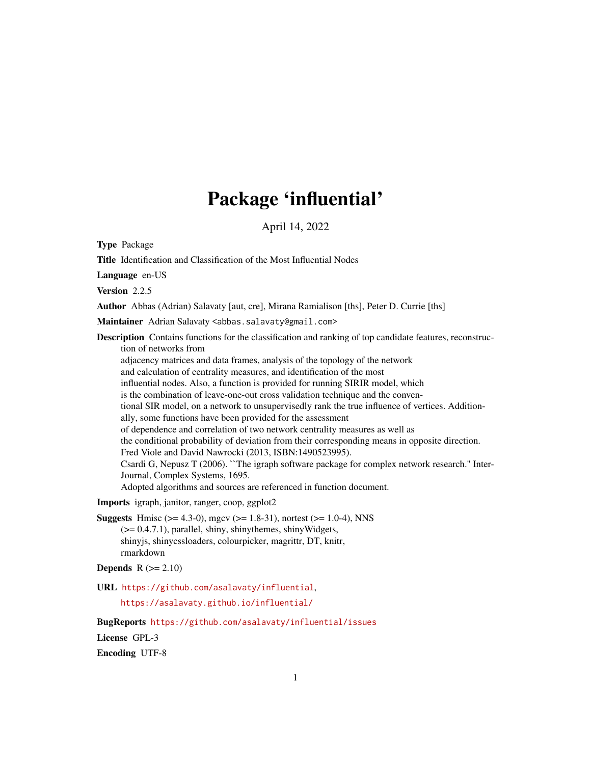# Package 'influential'

April 14, 2022

<span id="page-0-0"></span>Type Package

Title Identification and Classification of the Most Influential Nodes

Language en-US

Version 2.2.5

Author Abbas (Adrian) Salavaty [aut, cre], Mirana Ramialison [ths], Peter D. Currie [ths]

Maintainer Adrian Salavaty <abbas.salavaty@gmail.com>

Description Contains functions for the classification and ranking of top candidate features, reconstruction of networks from adjacency matrices and data frames, analysis of the topology of the network and calculation of centrality measures, and identification of the most

influential nodes. Also, a function is provided for running SIRIR model, which

is the combination of leave-one-out cross validation technique and the conven-

tional SIR model, on a network to unsupervisedly rank the true influence of vertices. Additionally, some functions have been provided for the assessment

of dependence and correlation of two network centrality measures as well as

the conditional probability of deviation from their corresponding means in opposite direction.

Fred Viole and David Nawrocki (2013, ISBN:1490523995).

Csardi G, Nepusz T (2006). ``The igraph software package for complex network research.'' Inter-Journal, Complex Systems, 1695.

Adopted algorithms and sources are referenced in function document.

Imports igraph, janitor, ranger, coop, ggplot2

**Suggests** Hmisc ( $> = 4.3-0$ ), mgcv ( $> = 1.8-31$ ), nortest ( $> = 1.0-4$ ), NNS  $(>= 0.4.7.1)$ , parallel, shiny, shinythemes, shinyWidgets, shinyjs, shinycssloaders, colourpicker, magrittr, DT, knitr, rmarkdown

```
Depends R (>= 2.10)
```
URL <https://github.com/asalavaty/influential>,

<https://asalavaty.github.io/influential/>

BugReports <https://github.com/asalavaty/influential/issues>

License GPL-3

Encoding UTF-8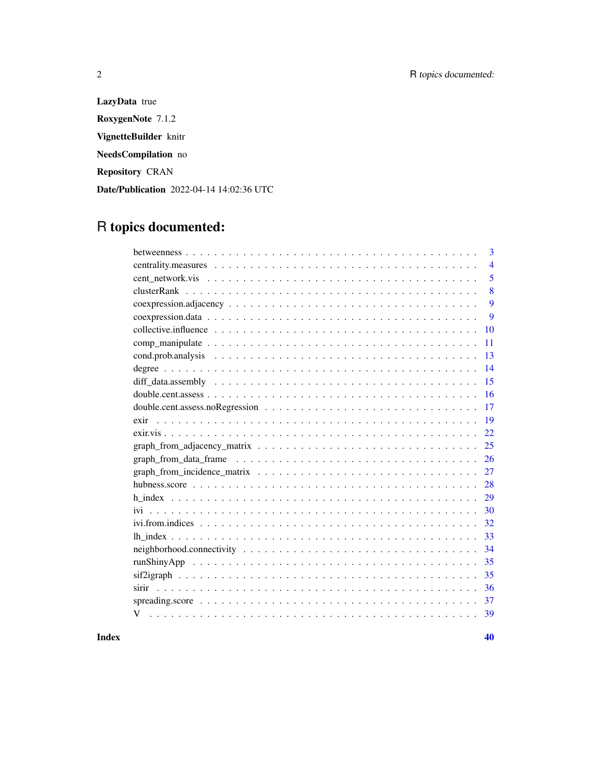LazyData true RoxygenNote 7.1.2 VignetteBuilder knitr NeedsCompilation no Repository CRAN Date/Publication 2022-04-14 14:02:36 UTC

# R topics documented:

| 3              |
|----------------|
| $\overline{4}$ |
| 5              |
| 8              |
| 9              |
| 9              |
| 10             |
| 11             |
| 13             |
| 14             |
| 15             |
| 16             |
| 17             |
| 19<br>exir     |
| 22             |
| 25             |
| 26             |
| 27             |
| 28             |
| 29             |
| 30             |
| 32             |
| 33             |
| 34             |
| 35             |
| 35             |
| 36             |
| 37             |
| V<br>39        |
|                |

 $\blacksquare$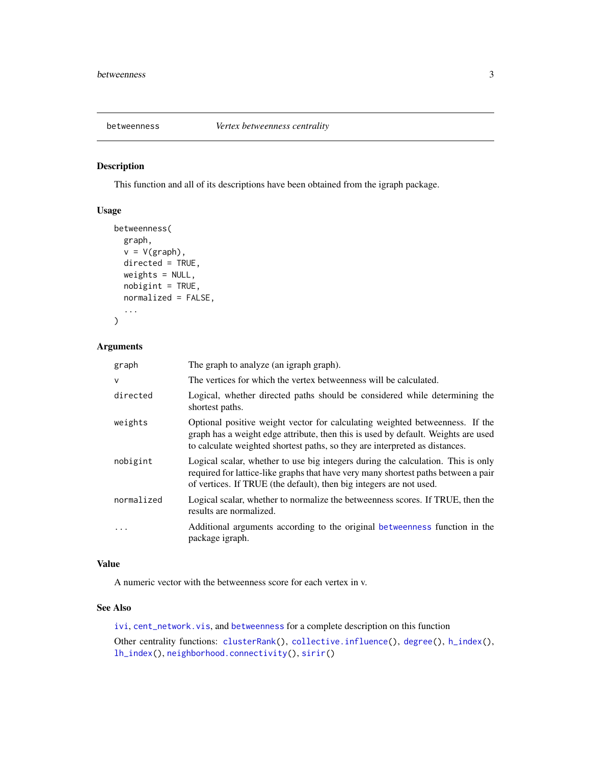<span id="page-2-1"></span><span id="page-2-0"></span>

# Description

This function and all of its descriptions have been obtained from the igraph package.

# Usage

```
betweenness(
 graph,
 v = V(\text{graph}),
 directed = TRUE,
 weights = NULL,
 nobigint = TRUE,
 normalized = FALSE,
  ...
)
```
# Arguments

| graph        | The graph to analyze (an igraph graph).                                                                                                                                                                                                          |
|--------------|--------------------------------------------------------------------------------------------------------------------------------------------------------------------------------------------------------------------------------------------------|
| $\mathsf{v}$ | The vertices for which the vertex betweenness will be calculated.                                                                                                                                                                                |
| directed     | Logical, whether directed paths should be considered while determining the<br>shortest paths.                                                                                                                                                    |
| weights      | Optional positive weight vector for calculating weighted betweenness. If the<br>graph has a weight edge attribute, then this is used by default. Weights are used<br>to calculate weighted shortest paths, so they are interpreted as distances. |
| nobigint     | Logical scalar, whether to use big integers during the calculation. This is only<br>required for lattice-like graphs that have very many shortest paths between a pair<br>of vertices. If TRUE (the default), then big integers are not used.    |
| normalized   | Logical scalar, whether to normalize the betweenness scores. If TRUE, then the<br>results are normalized.                                                                                                                                        |
|              | Additional arguments according to the original betweenness function in the<br>package igraph.                                                                                                                                                    |

# Value

A numeric vector with the betweenness score for each vertex in v.

# See Also

[ivi](#page-29-1), [cent\\_network.vis](#page-4-1), and [betweenness](#page-2-1) for a complete description on this function Other centrality functions: [clusterRank\(](#page-7-1)), [collective.influence\(](#page-9-1)), [degree\(](#page-13-1)), [h\\_index\(](#page-28-1)), [lh\\_index\(](#page-32-1)), [neighborhood.connectivity\(](#page-33-1)), [sirir\(](#page-35-1))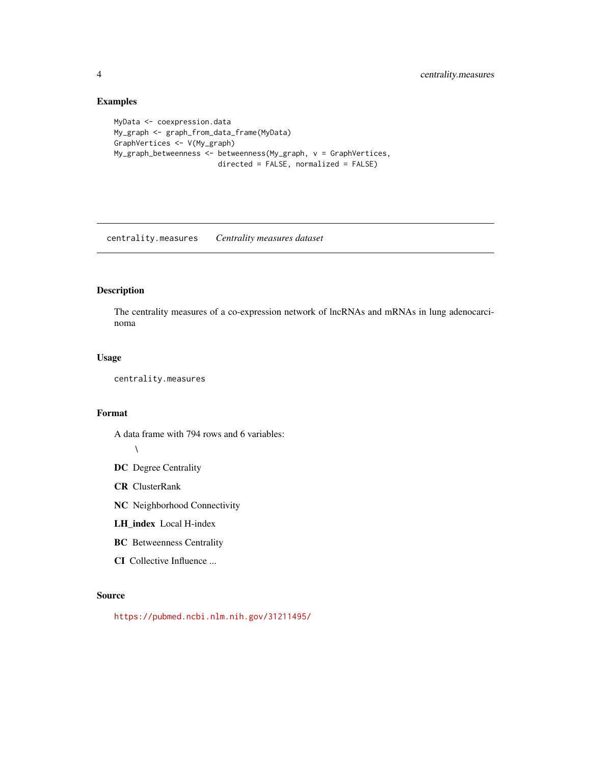# Examples

```
MyData <- coexpression.data
My_graph <- graph_from_data_frame(MyData)
GraphVertices <- V(My_graph)
My_graph_betweenness <- betweenness(My_graph, v = GraphVertices,
                       directed = FALSE, normalized = FALSE)
```
centrality.measures *Centrality measures dataset*

#### Description

The centrality measures of a co-expression network of lncRNAs and mRNAs in lung adenocarcinoma

#### Usage

centrality.measures

#### Format

A data frame with 794 rows and 6 variables:

#### $\lambda$

- DC Degree Centrality
- CR ClusterRank
- NC Neighborhood Connectivity
- LH\_index Local H-index
- BC Betweenness Centrality
- CI Collective Influence ...

# Source

<https://pubmed.ncbi.nlm.nih.gov/31211495/>

<span id="page-3-0"></span>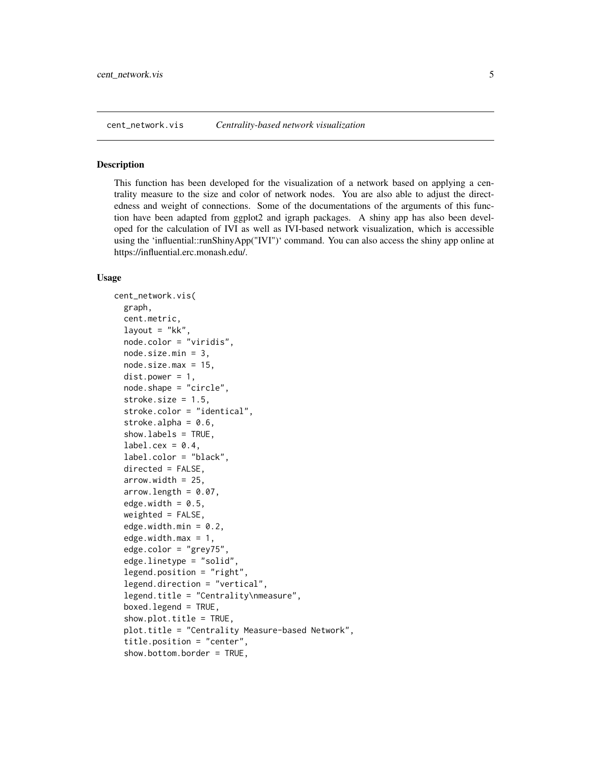<span id="page-4-1"></span><span id="page-4-0"></span>

#### Description

This function has been developed for the visualization of a network based on applying a centrality measure to the size and color of network nodes. You are also able to adjust the directedness and weight of connections. Some of the documentations of the arguments of this function have been adapted from ggplot2 and igraph packages. A shiny app has also been developed for the calculation of IVI as well as IVI-based network visualization, which is accessible using the 'influential::runShinyApp("IVI")' command. You can also access the shiny app online at https://influential.erc.monash.edu/.

```
cent_network.vis(
  graph,
  cent.metric,
  layout = "kk"
  node.color = "viridis",
  node.size.min = 3,
  node.size.max = 15,
  dist.power = 1,node.shape = "circle",
  stroke.size = 1.5,
  stroke.color = "identical",
  stroke.alpha = 0.6,
  show.labels = TRUE,
  label.cex = 0.4,
  label.color = "black",
  directed = FALSE,
  arrow.width = 25,
  arrow.length = 0.07,
  edge.width = 0.5,
  weighted = FALSE,edge.width.min = 0.2,
  edge.width.max = 1,
  edge.color = "grey75",
  edge.linetype = "solid",
  legend.position = "right",
  legend.direction = "vertical",
  legend.title = "Centrality\mm".
  boxed.legend = TRUE,
  show.plot.title = TRUE,
  plot.title = "Centrality Measure-based Network",
  title.position = "center",
  show.bottom.border = TRUE,
```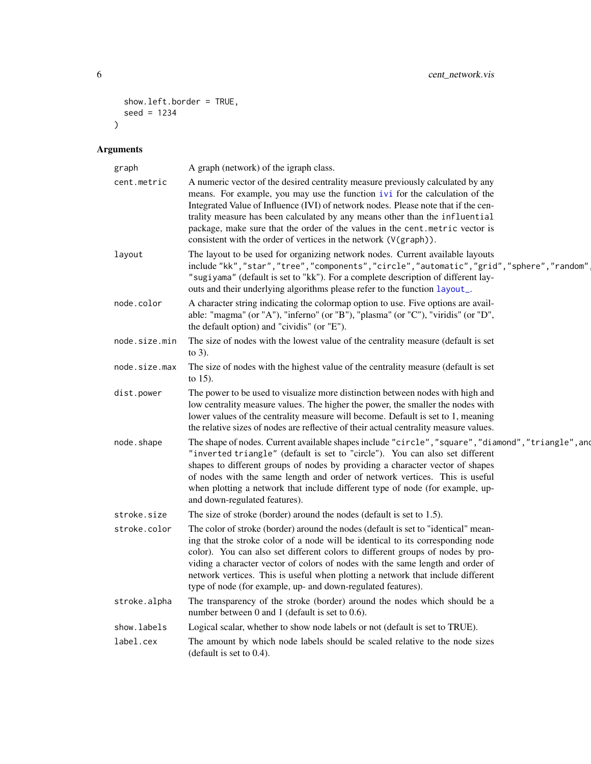```
show.left.border = TRUE,
 seed = 1234
\lambda
```
# Arguments

| graph         | A graph (network) of the igraph class.                                                                                                                                                                                                                                                                                                                                                                                                                                                       |
|---------------|----------------------------------------------------------------------------------------------------------------------------------------------------------------------------------------------------------------------------------------------------------------------------------------------------------------------------------------------------------------------------------------------------------------------------------------------------------------------------------------------|
| cent.metric   | A numeric vector of the desired centrality measure previously calculated by any<br>means. For example, you may use the function ivi for the calculation of the<br>Integrated Value of Influence (IVI) of network nodes. Please note that if the cen-<br>trality measure has been calculated by any means other than the influential<br>package, make sure that the order of the values in the cent.metric vector is<br>consistent with the order of vertices in the network (V(graph)).      |
| layout        | The layout to be used for organizing network nodes. Current available layouts<br>include "kk", "star", "tree", "components", "circle", "automatic", "grid", "sphere", "random"<br>"sugiyama" (default is set to "kk"). For a complete description of different lay-<br>outs and their underlying algorithms please refer to the function layout_.                                                                                                                                            |
| node.color    | A character string indicating the colormap option to use. Five options are avail-<br>able: "magma" (or "A"), "inferno" (or "B"), "plasma" (or "C"), "viridis" (or "D",<br>the default option) and "cividis" (or "E").                                                                                                                                                                                                                                                                        |
| node.size.min | The size of nodes with the lowest value of the centrality measure (default is set<br>to $3$ ).                                                                                                                                                                                                                                                                                                                                                                                               |
| node.size.max | The size of nodes with the highest value of the centrality measure (default is set<br>to $15$ ).                                                                                                                                                                                                                                                                                                                                                                                             |
| dist.power    | The power to be used to visualize more distinction between nodes with high and<br>low centrality measure values. The higher the power, the smaller the nodes with<br>lower values of the centrality measure will become. Default is set to 1, meaning<br>the relative sizes of nodes are reflective of their actual centrality measure values.                                                                                                                                               |
| node.shape    | The shape of nodes. Current available shapes include "circle", "square", "diamond", "triangle", and<br>"inverted triangle" (default is set to "circle"). You can also set different<br>shapes to different groups of nodes by providing a character vector of shapes<br>of nodes with the same length and order of network vertices. This is useful<br>when plotting a network that include different type of node (for example, up-<br>and down-regulated features).                        |
| stroke.size   | The size of stroke (border) around the nodes (default is set to 1.5).                                                                                                                                                                                                                                                                                                                                                                                                                        |
| stroke.color  | The color of stroke (border) around the nodes (default is set to "identical" mean-<br>ing that the stroke color of a node will be identical to its corresponding node<br>color). You can also set different colors to different groups of nodes by pro-<br>viding a character vector of colors of nodes with the same length and order of<br>network vertices. This is useful when plotting a network that include different<br>type of node (for example, up- and down-regulated features). |
| stroke.alpha  | The transparency of the stroke (border) around the nodes which should be a<br>number between 0 and 1 (default is set to $0.6$ ).                                                                                                                                                                                                                                                                                                                                                             |
| show.labels   | Logical scalar, whether to show node labels or not (default is set to TRUE).                                                                                                                                                                                                                                                                                                                                                                                                                 |
| label.cex     | The amount by which node labels should be scaled relative to the node sizes<br>(default is set to $0.4$ ).                                                                                                                                                                                                                                                                                                                                                                                   |
|               |                                                                                                                                                                                                                                                                                                                                                                                                                                                                                              |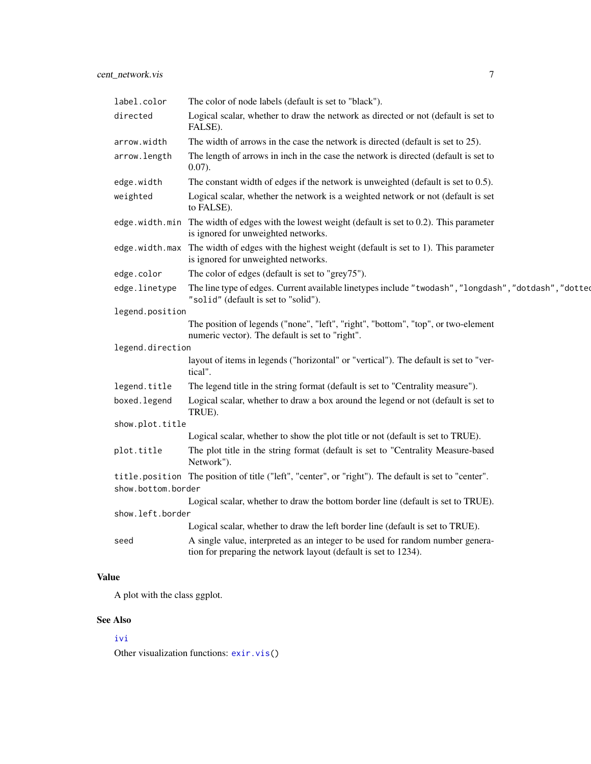<span id="page-6-0"></span>

| label.color        | The color of node labels (default is set to "black").                                                                                             |
|--------------------|---------------------------------------------------------------------------------------------------------------------------------------------------|
| directed           | Logical scalar, whether to draw the network as directed or not (default is set to<br>FALSE).                                                      |
| arrow.width        | The width of arrows in the case the network is directed (default is set to 25).                                                                   |
| arrow.length       | The length of arrows in inch in the case the network is directed (default is set to<br>$0.07$ ).                                                  |
| edge.width         | The constant width of edges if the network is unweighted (default is set to $0.5$ ).                                                              |
| weighted           | Logical scalar, whether the network is a weighted network or not (default is set<br>to FALSE).                                                    |
|                    | edge . width. min The width of edges with the lowest weight (default is set to 0.2). This parameter<br>is ignored for unweighted networks.        |
|                    | edge . width. max The width of edges with the highest weight (default is set to 1). This parameter<br>is ignored for unweighted networks.         |
| edge.color         | The color of edges (default is set to "grey75").                                                                                                  |
| edge.linetype      | The line type of edges. Current available linetypes include "twodash", "longdash", "dotdash", "dotted<br>"solid" (default is set to "solid").     |
| legend.position    |                                                                                                                                                   |
|                    | The position of legends ("none", "left", "right", "bottom", "top", or two-element<br>numeric vector). The default is set to "right".              |
| legend.direction   |                                                                                                                                                   |
|                    | layout of items in legends ("horizontal" or "vertical"). The default is set to "ver-<br>tical".                                                   |
| legend.title       | The legend title in the string format (default is set to "Centrality measure").                                                                   |
| boxed.legend       | Logical scalar, whether to draw a box around the legend or not (default is set to<br>TRUE).                                                       |
| show.plot.title    |                                                                                                                                                   |
|                    | Logical scalar, whether to show the plot title or not (default is set to TRUE).                                                                   |
| plot.title         | The plot title in the string format (default is set to "Centrality Measure-based<br>Network").                                                    |
|                    | title.position The position of title ("left", "center", or "right"). The default is set to "center".                                              |
| show.bottom.border |                                                                                                                                                   |
|                    | Logical scalar, whether to draw the bottom border line (default is set to TRUE).                                                                  |
| show.left.border   |                                                                                                                                                   |
|                    | Logical scalar, whether to draw the left border line (default is set to TRUE).                                                                    |
| seed               | A single value, interpreted as an integer to be used for random number genera-<br>tion for preparing the network layout (default is set to 1234). |

# Value

A plot with the class ggplot.

# See Also

# [ivi](#page-29-1)

Other visualization functions: [exir.vis\(](#page-21-1))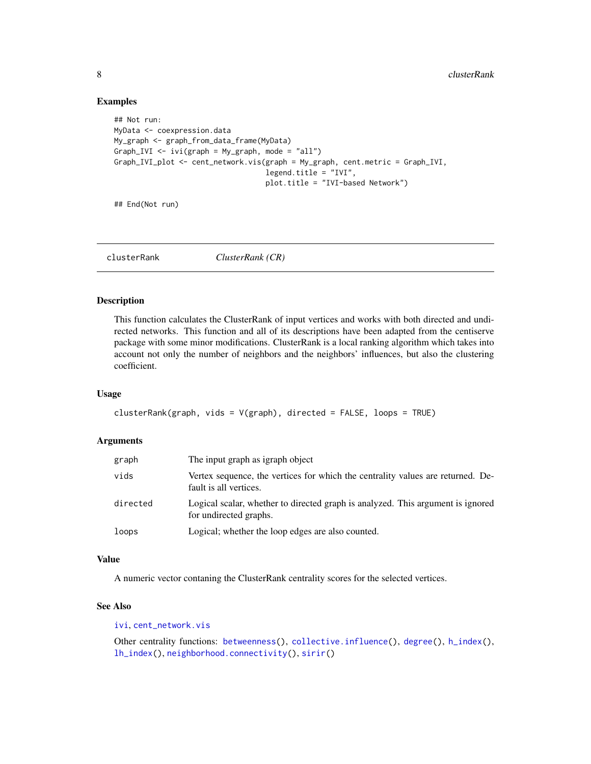#### Examples

```
## Not run:
MyData <- coexpression.data
My_graph <- graph_from_data_frame(MyData)
Graph_IVI \le ivi(graph = My_graph, mode = "all")
Graph_IVI_plot <- cent_network.vis(graph = My_graph, cent.metric = Graph_IVI,
                                   legend.title = "IVI",
                                   plot.title = "IVI-based Network")
```
## End(Not run)

<span id="page-7-1"></span>clusterRank *ClusterRank (CR)*

#### Description

This function calculates the ClusterRank of input vertices and works with both directed and undirected networks. This function and all of its descriptions have been adapted from the centiserve package with some minor modifications. ClusterRank is a local ranking algorithm which takes into account not only the number of neighbors and the neighbors' influences, but also the clustering coefficient.

#### Usage

```
clusterRank(graph, vids = V(graph), directed = FALSE, loops = TRUE)
```
#### Arguments

| graph    | The input graph as igraph object                                                                          |
|----------|-----------------------------------------------------------------------------------------------------------|
| vids     | Vertex sequence, the vertices for which the centrality values are returned. De-<br>fault is all vertices. |
| directed | Logical scalar, whether to directed graph is analyzed. This argument is ignored<br>for undirected graphs. |
| loops    | Logical; whether the loop edges are also counted.                                                         |

#### Value

A numeric vector contaning the ClusterRank centrality scores for the selected vertices.

#### See Also

[ivi](#page-29-1), [cent\\_network.vis](#page-4-1)

Other centrality functions: [betweenness\(](#page-2-1)), [collective.influence\(](#page-9-1)), [degree\(](#page-13-1)), [h\\_index\(](#page-28-1)), [lh\\_index\(](#page-32-1)), [neighborhood.connectivity\(](#page-33-1)), [sirir\(](#page-35-1))

<span id="page-7-0"></span>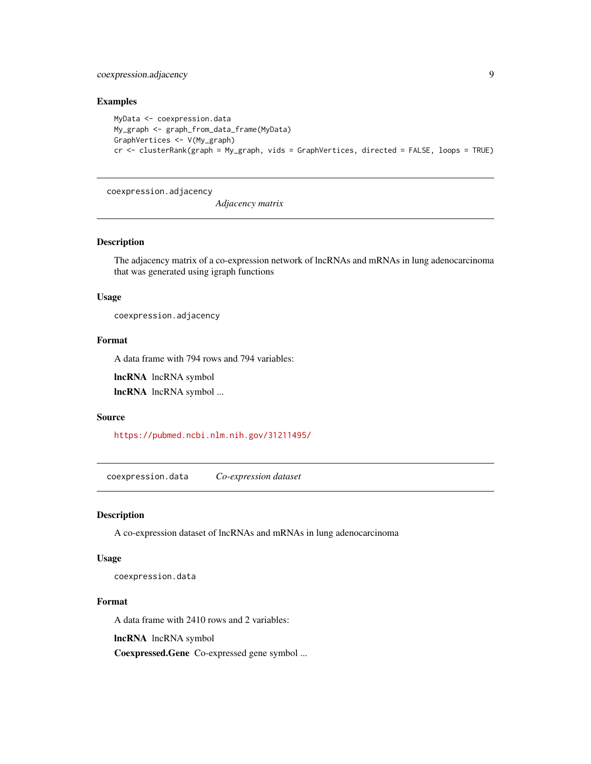<span id="page-8-0"></span>coexpression.adjacency 9

# Examples

```
MyData <- coexpression.data
My_graph <- graph_from_data_frame(MyData)
GraphVertices <- V(My_graph)
cr <- clusterRank(graph = My_graph, vids = GraphVertices, directed = FALSE, loops = TRUE)
```
coexpression.adjacency

*Adjacency matrix*

#### Description

The adjacency matrix of a co-expression network of lncRNAs and mRNAs in lung adenocarcinoma that was generated using igraph functions

# Usage

coexpression.adjacency

# Format

A data frame with 794 rows and 794 variables:

lncRNA lncRNA symbol

lncRNA lncRNA symbol ...

#### Source

<https://pubmed.ncbi.nlm.nih.gov/31211495/>

coexpression.data *Co-expression dataset*

# Description

A co-expression dataset of lncRNAs and mRNAs in lung adenocarcinoma

## Usage

coexpression.data

#### Format

A data frame with 2410 rows and 2 variables:

lncRNA lncRNA symbol

Coexpressed.Gene Co-expressed gene symbol ...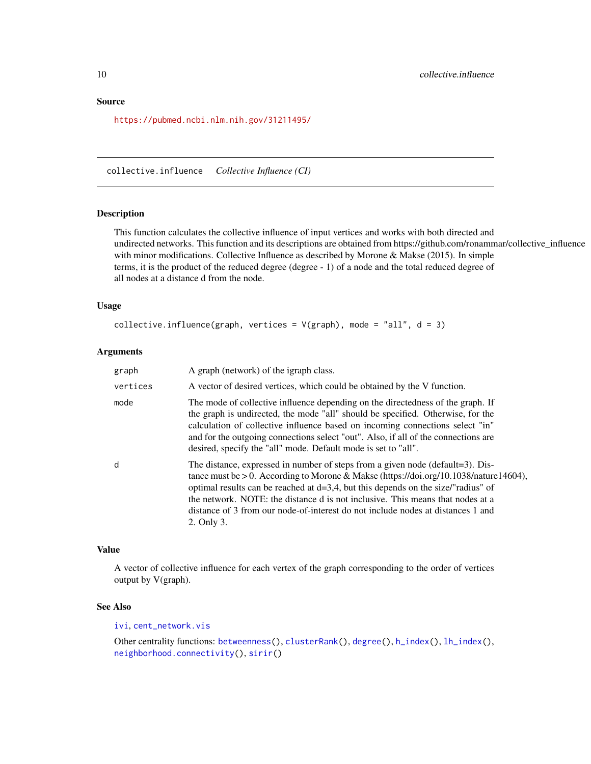#### <span id="page-9-0"></span>Source

<https://pubmed.ncbi.nlm.nih.gov/31211495/>

<span id="page-9-1"></span>collective.influence *Collective Influence (CI)*

# Description

This function calculates the collective influence of input vertices and works with both directed and undirected networks. This function and its descriptions are obtained from https://github.com/ronammar/collective\_influence with minor modifications. Collective Influence as described by Morone & Makse (2015). In simple terms, it is the product of the reduced degree (degree - 1) of a node and the total reduced degree of all nodes at a distance d from the node.

#### Usage

```
collective.influence(graph, vertices = V(graph), mode = "all", d = 3)
```
#### Arguments

| graph    | A graph (network) of the igraph class.                                                                                                                                                                                                                                                                                                                                                                                                             |
|----------|----------------------------------------------------------------------------------------------------------------------------------------------------------------------------------------------------------------------------------------------------------------------------------------------------------------------------------------------------------------------------------------------------------------------------------------------------|
| vertices | A vector of desired vertices, which could be obtained by the V function.                                                                                                                                                                                                                                                                                                                                                                           |
| mode     | The mode of collective influence depending on the directedness of the graph. If<br>the graph is undirected, the mode "all" should be specified. Otherwise, for the<br>calculation of collective influence based on incoming connections select "in"<br>and for the outgoing connections select "out". Also, if all of the connections are<br>desired, specify the "all" mode. Default mode is set to "all".                                        |
| d        | The distance, expressed in number of steps from a given node (default=3). Dis-<br>tance must be > 0. According to Morone & Makse (https://doi.org/10.1038/nature14604),<br>optimal results can be reached at $d=3,4$ , but this depends on the size/"radius" of<br>the network. NOTE: the distance d is not inclusive. This means that nodes at a<br>distance of 3 from our node-of-interest do not include nodes at distances 1 and<br>2. Only 3. |

#### Value

A vector of collective influence for each vertex of the graph corresponding to the order of vertices output by V(graph).

#### See Also

[ivi](#page-29-1), [cent\\_network.vis](#page-4-1)

Other centrality functions: [betweenness\(](#page-2-1)), [clusterRank\(](#page-7-1)), [degree\(](#page-13-1)), [h\\_index\(](#page-28-1)), [lh\\_index\(](#page-32-1)), [neighborhood.connectivity\(](#page-33-1)), [sirir\(](#page-35-1))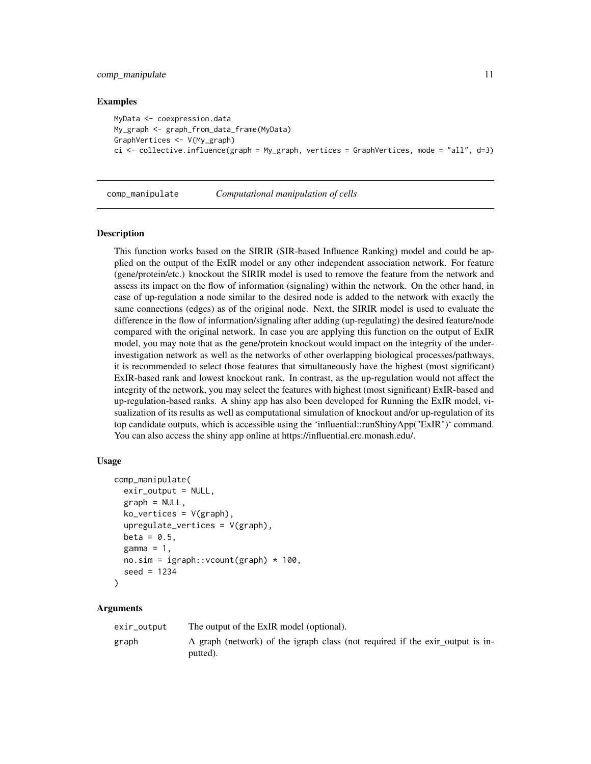#### <span id="page-10-0"></span>comp\_manipulate 11

#### Examples

```
MyData <- coexpression.data
My_graph <- graph_from_data_frame(MyData)
GraphVertices <- V(My_graph)
ci <- collective.influence(graph = My_graph, vertices = GraphVertices, mode = "all", d=3)
```
<span id="page-10-1"></span>comp\_manipulate *Computational manipulation of cells*

#### Description

This function works based on the SIRIR (SIR-based Influence Ranking) model and could be applied on the output of the ExIR model or any other independent association network. For feature (gene/protein/etc.) knockout the SIRIR model is used to remove the feature from the network and assess its impact on the flow of information (signaling) within the network. On the other hand, in case of up-regulation a node similar to the desired node is added to the network with exactly the same connections (edges) as of the original node. Next, the SIRIR model is used to evaluate the difference in the flow of information/signaling after adding (up-regulating) the desired feature/node compared with the original network. In case you are applying this function on the output of ExIR model, you may note that as the gene/protein knockout would impact on the integrity of the underinvestigation network as well as the networks of other overlapping biological processes/pathways, it is recommended to select those features that simultaneously have the highest (most significant) ExIR-based rank and lowest knockout rank. In contrast, as the up-regulation would not affect the integrity of the network, you may select the features with highest (most significant) ExIR-based and up-regulation-based ranks. A shiny app has also been developed for Running the ExIR model, visualization of its results as well as computational simulation of knockout and/or up-regulation of its top candidate outputs, which is accessible using the 'influential::runShinyApp("ExIR")' command. You can also access the shiny app online at https://influential.erc.monash.edu/.

#### Usage

```
comp_manipulate(
  exir_output = NULL,graph = NULL,
  ko<sub>–</sub>vertices = V(graph),
  upregulate_vertices = V(graph),
  beta = 0.5,
  gamma = 1,
  no.sim = igraph::vcount(graph) * 100,
  seed = 1234)
```
#### Arguments

| exir_output | The output of the ExIR model (optional).                                                  |
|-------------|-------------------------------------------------------------------------------------------|
| graph       | A graph (network) of the igraph class (not required if the exir output is in-<br>putted). |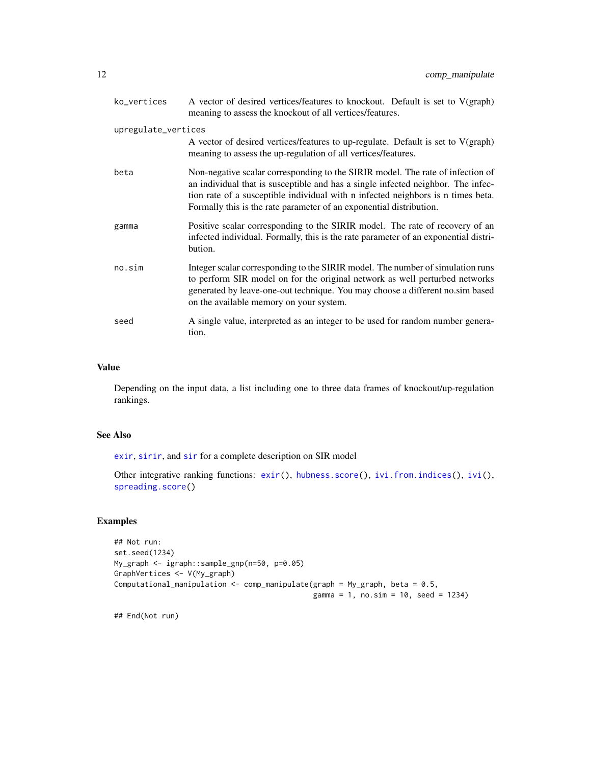<span id="page-11-0"></span>

| ko_vertices         | A vector of desired vertices/features to knockout. Default is set to V(graph)<br>meaning to assess the knockout of all vertices/features.                                                                                                                                                                                     |
|---------------------|-------------------------------------------------------------------------------------------------------------------------------------------------------------------------------------------------------------------------------------------------------------------------------------------------------------------------------|
| upregulate_vertices | A vector of desired vertices/features to up-regulate. Default is set to $V(\text{graph})$<br>meaning to assess the up-regulation of all vertices/features.                                                                                                                                                                    |
| beta                | Non-negative scalar corresponding to the SIRIR model. The rate of infection of<br>an individual that is susceptible and has a single infected neighbor. The infec-<br>tion rate of a susceptible individual with n infected neighbors is n times beta.<br>Formally this is the rate parameter of an exponential distribution. |
| gamma               | Positive scalar corresponding to the SIRIR model. The rate of recovery of an<br>infected individual. Formally, this is the rate parameter of an exponential distri-<br>bution.                                                                                                                                                |
| no,sim              | Integer scalar corresponding to the SIRIR model. The number of simulation runs<br>to perform SIR model on for the original network as well perturbed networks<br>generated by leave-one-out technique. You may choose a different no.sim based<br>on the available memory on your system.                                     |
| seed                | A single value, interpreted as an integer to be used for random number genera-<br>tion.                                                                                                                                                                                                                                       |

#### Value

Depending on the input data, a list including one to three data frames of knockout/up-regulation rankings.

# See Also

[exir](#page-18-1), [sirir](#page-35-1), and [sir](#page-0-0) for a complete description on SIR model

Other integrative ranking functions: [exir\(](#page-18-1)), [hubness.score\(](#page-27-1)), [ivi.from.indices\(](#page-31-1)), [ivi\(](#page-29-1)), [spreading.score\(](#page-36-1))

# Examples

```
## Not run:
set.seed(1234)
My_graph <- igraph::sample_gnp(n=50, p=0.05)
GraphVertices <- V(My_graph)
Computational_manipulation <- comp_manipulate(graph = My_graph, beta = 0.5,
                                              gamma = 1, no.sim = 10, seed = 1234)
```
## End(Not run)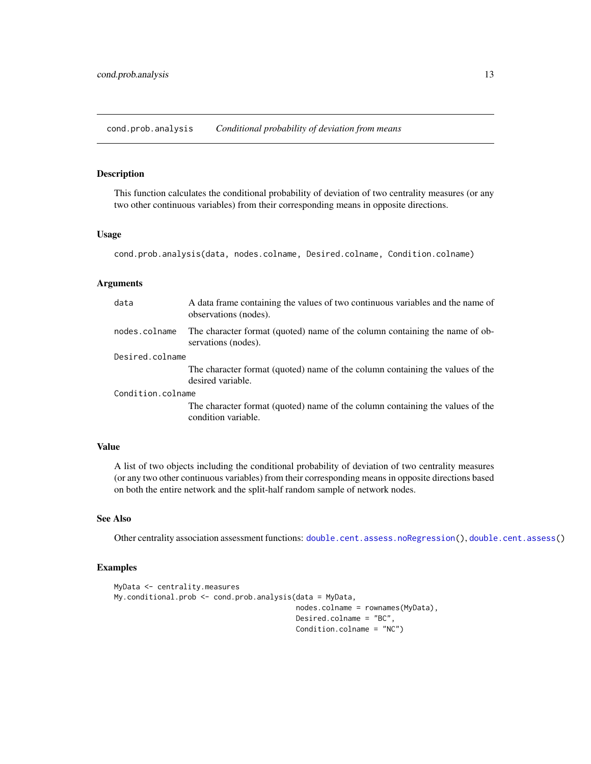<span id="page-12-1"></span><span id="page-12-0"></span>cond.prob.analysis *Conditional probability of deviation from means*

# Description

This function calculates the conditional probability of deviation of two centrality measures (or any two other continuous variables) from their corresponding means in opposite directions.

#### Usage

cond.prob.analysis(data, nodes.colname, Desired.colname, Condition.colname)

#### Arguments

| data              | A data frame containing the values of two continuous variables and the name of<br>observations (nodes). |  |
|-------------------|---------------------------------------------------------------------------------------------------------|--|
| nodes.colname     | The character format (quoted) name of the column containing the name of ob-<br>servations (nodes).      |  |
| Desired.colname   |                                                                                                         |  |
|                   | The character format (quoted) name of the column containing the values of the<br>desired variable.      |  |
| Condition.colname |                                                                                                         |  |
|                   | The character format (quoted) name of the column containing the values of the<br>condition variable.    |  |

#### Value

A list of two objects including the conditional probability of deviation of two centrality measures (or any two other continuous variables) from their corresponding means in opposite directions based on both the entire network and the split-half random sample of network nodes.

#### See Also

Other centrality association assessment functions: [double.cent.assess.noRegression\(](#page-16-1)), [double.cent.assess\(](#page-15-1))

# Examples

```
MyData <- centrality.measures
My.conditional.prob <- cond.prob.analysis(data = MyData,
                                          nodes.colname = rownames(MyData),
                                          Desired.colname = "BC",
                                          Condition.colname = "NC")
```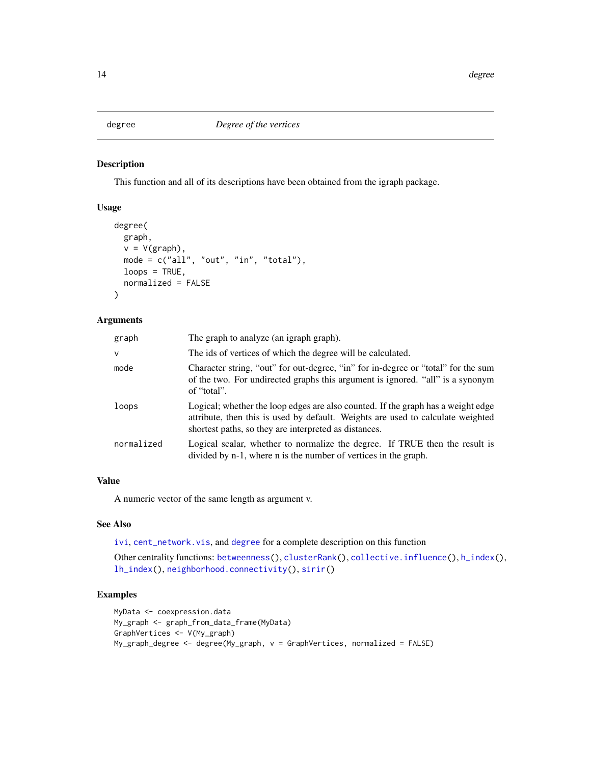<span id="page-13-1"></span><span id="page-13-0"></span>

# Description

This function and all of its descriptions have been obtained from the igraph package.

# Usage

```
degree(
 graph,
 v = V(\text{graph}),
 mode = c("all", "out", "in", "total"),loops = TRUE,normalized = FALSE
)
```
#### Arguments

| graph      | The graph to analyze (an igraph graph).                                                                                                                                                                                      |
|------------|------------------------------------------------------------------------------------------------------------------------------------------------------------------------------------------------------------------------------|
| v          | The ids of vertices of which the degree will be calculated.                                                                                                                                                                  |
| mode       | Character string, "out" for out-degree, "in" for in-degree or "total" for the sum<br>of the two. For undirected graphs this argument is ignored. "all" is a synonym<br>of "total".                                           |
| loops      | Logical; whether the loop edges are also counted. If the graph has a weight edge<br>attribute, then this is used by default. Weights are used to calculate weighted<br>shortest paths, so they are interpreted as distances. |
| normalized | Logical scalar, whether to normalize the degree. If TRUE then the result is<br>divided by n-1, where n is the number of vertices in the graph.                                                                               |

#### Value

A numeric vector of the same length as argument v.

# See Also

[ivi](#page-29-1), [cent\\_network.vis](#page-4-1), and [degree](#page-13-1) for a complete description on this function

Other centrality functions: [betweenness\(](#page-2-1)), [clusterRank\(](#page-7-1)), [collective.influence\(](#page-9-1)), [h\\_index\(](#page-28-1)), [lh\\_index\(](#page-32-1)), [neighborhood.connectivity\(](#page-33-1)), [sirir\(](#page-35-1))

# Examples

```
MyData <- coexpression.data
My_graph <- graph_from_data_frame(MyData)
GraphVertices <- V(My_graph)
My_graph_degree <- degree(My_graph, v = GraphVertices, normalized = FALSE)
```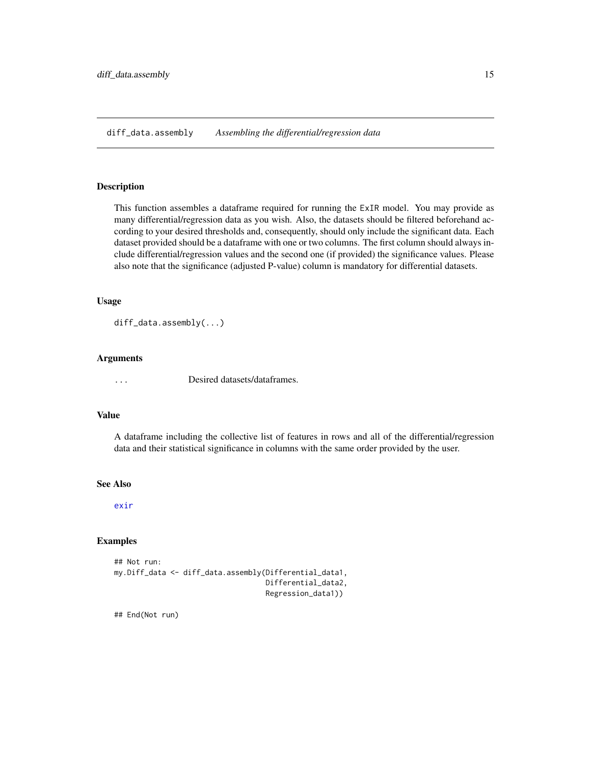<span id="page-14-1"></span><span id="page-14-0"></span>diff\_data.assembly *Assembling the differential/regression data*

#### Description

This function assembles a dataframe required for running the ExIR model. You may provide as many differential/regression data as you wish. Also, the datasets should be filtered beforehand according to your desired thresholds and, consequently, should only include the significant data. Each dataset provided should be a dataframe with one or two columns. The first column should always include differential/regression values and the second one (if provided) the significance values. Please also note that the significance (adjusted P-value) column is mandatory for differential datasets.

## Usage

diff\_data.assembly(...)

#### Arguments

... Desired datasets/dataframes.

#### Value

A dataframe including the collective list of features in rows and all of the differential/regression data and their statistical significance in columns with the same order provided by the user.

#### See Also

[exir](#page-18-1)

# Examples

```
## Not run:
my.Diff_data <- diff_data.assembly(Differential_data1,
                                    Differential_data2,
                                    Regression_data1))
```
## End(Not run)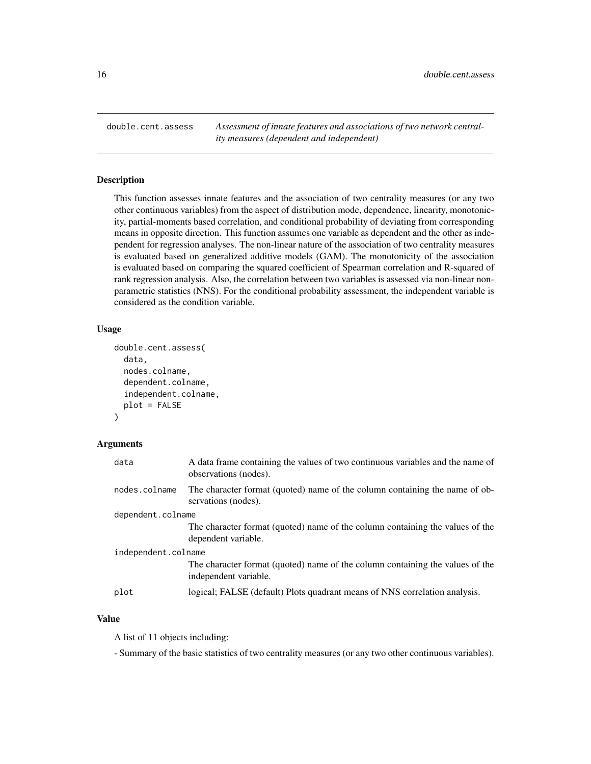<span id="page-15-1"></span><span id="page-15-0"></span>double.cent.assess *Assessment of innate features and associations of two network centrality measures (dependent and independent)*

# **Description**

This function assesses innate features and the association of two centrality measures (or any two other continuous variables) from the aspect of distribution mode, dependence, linearity, monotonicity, partial-moments based correlation, and conditional probability of deviating from corresponding means in opposite direction. This function assumes one variable as dependent and the other as independent for regression analyses. The non-linear nature of the association of two centrality measures is evaluated based on generalized additive models (GAM). The monotonicity of the association is evaluated based on comparing the squared coefficient of Spearman correlation and R-squared of rank regression analysis. Also, the correlation between two variables is assessed via non-linear nonparametric statistics (NNS). For the conditional probability assessment, the independent variable is considered as the condition variable.

#### Usage

```
double.cent.assess(
  data,
  nodes.colname,
  dependent.colname,
  independent.colname,
  plot = FALSE
)
```
#### Arguments

| data                | A data frame containing the values of two continuous variables and the name of<br>observations (nodes). |
|---------------------|---------------------------------------------------------------------------------------------------------|
| nodes.colname       | The character format (quoted) name of the column containing the name of ob-<br>servations (nodes).      |
| dependent.colname   |                                                                                                         |
|                     | The character format (quoted) name of the column containing the values of the<br>dependent variable.    |
| independent.colname |                                                                                                         |
|                     | The character format (quoted) name of the column containing the values of the<br>independent variable.  |
| plot                | logical; FALSE (default) Plots quadrant means of NNS correlation analysis.                              |

# Value

A list of 11 objects including:

- Summary of the basic statistics of two centrality measures (or any two other continuous variables).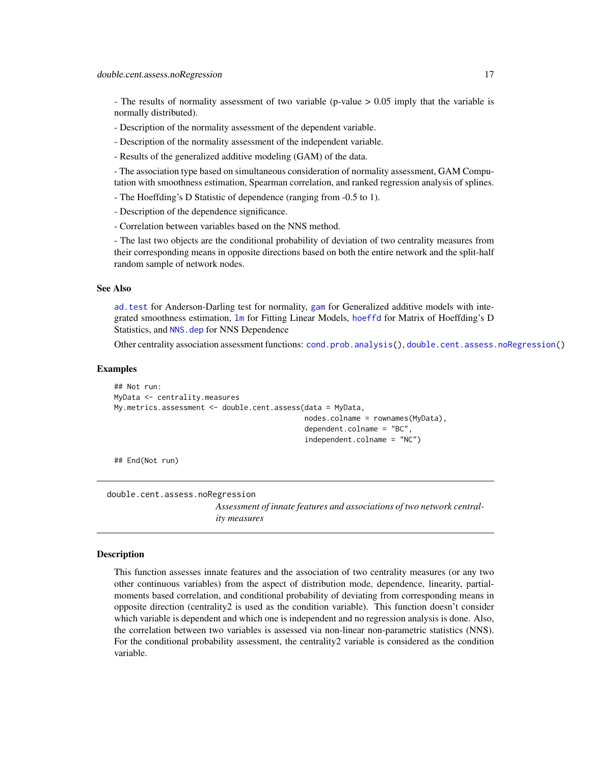<span id="page-16-0"></span>- The results of normality assessment of two variable (p-value  $> 0.05$  imply that the variable is normally distributed).

- Description of the normality assessment of the dependent variable.
- Description of the normality assessment of the independent variable.
- Results of the generalized additive modeling (GAM) of the data.
- The association type based on simultaneous consideration of normality assessment, GAM Computation with smoothness estimation, Spearman correlation, and ranked regression analysis of splines.
- The Hoeffding's D Statistic of dependence (ranging from -0.5 to 1).
- Description of the dependence significance.
- Correlation between variables based on the NNS method.

- The last two objects are the conditional probability of deviation of two centrality measures from their corresponding means in opposite directions based on both the entire network and the split-half random sample of network nodes.

#### See Also

[ad.test](#page-0-0) for Anderson-Darling test for normality, [gam](#page-0-0) for Generalized additive models with integrated smoothness estimation, [lm](#page-0-0) for Fitting Linear Models, [hoeffd](#page-0-0) for Matrix of Hoeffding's D Statistics, and [NNS.dep](#page-0-0) for NNS Dependence

Other centrality association assessment functions: [cond.prob.analysis\(](#page-12-1)), [double.cent.assess.noRegression\(](#page-16-1))

#### Examples

```
## Not run:
MyData <- centrality.measures
My.metrics.assessment <- double.cent.assess(data = MyData,
                                            nodes.colname = rownames(MyData),
                                            dependent.colname = "BC",
                                             independent.colname = "NC")
```
## End(Not run)

<span id="page-16-1"></span>double.cent.assess.noRegression

*Assessment of innate features and associations of two network centrality measures*

#### Description

This function assesses innate features and the association of two centrality measures (or any two other continuous variables) from the aspect of distribution mode, dependence, linearity, partialmoments based correlation, and conditional probability of deviating from corresponding means in opposite direction (centrality2 is used as the condition variable). This function doesn't consider which variable is dependent and which one is independent and no regression analysis is done. Also, the correlation between two variables is assessed via non-linear non-parametric statistics (NNS). For the conditional probability assessment, the centrality2 variable is considered as the condition variable.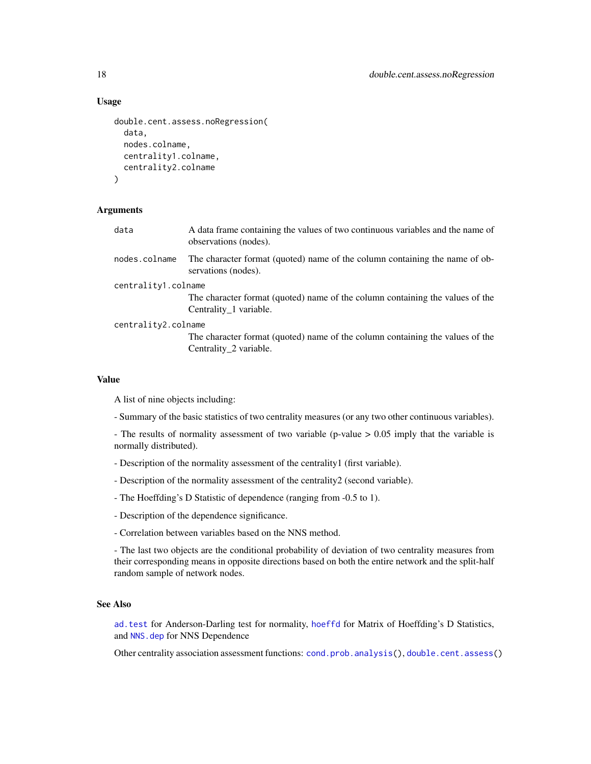#### Usage

```
double.cent.assess.noRegression(
  data,
  nodes.colname,
 centrality1.colname,
  centrality2.colname
)
```
#### Arguments

| data                | A data frame containing the values of two continuous variables and the name of<br>observations (nodes). |
|---------------------|---------------------------------------------------------------------------------------------------------|
| nodes.colname       | The character format (quoted) name of the column containing the name of ob-<br>servations (nodes).      |
| centrality1.colname |                                                                                                         |
|                     | The character format (quoted) name of the column containing the values of the                           |
|                     | Centrality 1 variable.                                                                                  |
| centrality2.colname |                                                                                                         |
|                     | The character format (quoted) name of the column containing the values of the                           |

#### Value

A list of nine objects including:

- Summary of the basic statistics of two centrality measures (or any two other continuous variables).

- The results of normality assessment of two variable (p-value > 0.05 imply that the variable is normally distributed).

- Description of the normality assessment of the centrality1 (first variable).
- Description of the normality assessment of the centrality2 (second variable).
- The Hoeffding's D Statistic of dependence (ranging from -0.5 to 1).
- Description of the dependence significance.
- Correlation between variables based on the NNS method.

Centrality\_2 variable.

- The last two objects are the conditional probability of deviation of two centrality measures from their corresponding means in opposite directions based on both the entire network and the split-half random sample of network nodes.

# See Also

[ad.test](#page-0-0) for Anderson-Darling test for normality, [hoeffd](#page-0-0) for Matrix of Hoeffding's D Statistics, and [NNS.dep](#page-0-0) for NNS Dependence

Other centrality association assessment functions: [cond.prob.analysis\(](#page-12-1)), [double.cent.assess\(](#page-15-1))

<span id="page-17-0"></span>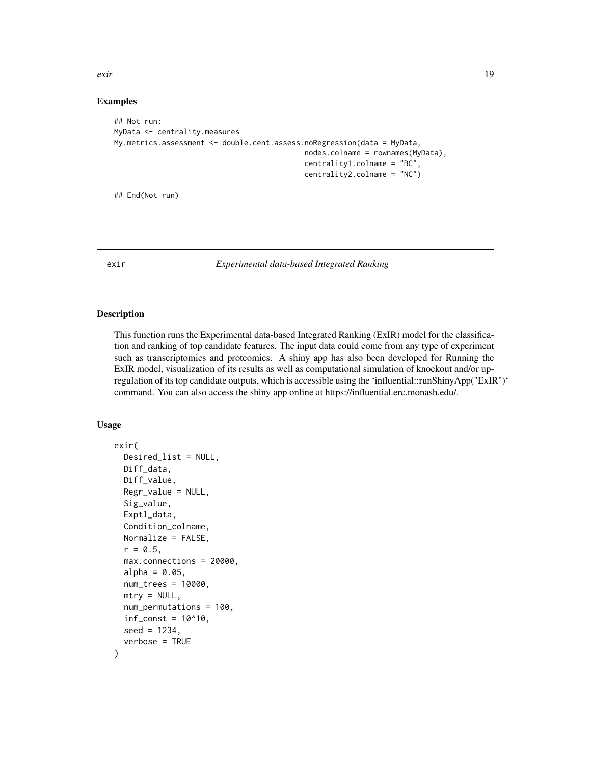<span id="page-18-0"></span>exir and the second second second second second second second second second second second second second second second second second second second second second second second second second second second second second second

#### Examples

```
## Not run:
MyData <- centrality.measures
My.metrics.assessment <- double.cent.assess.noRegression(data = MyData,
                                            nodes.colname = rownames(MyData),
                                            centrality1.colname = "BC",
                                            centrality2.colname = "NC")
```
## End(Not run)

<span id="page-18-1"></span>exir *Experimental data-based Integrated Ranking*

# Description

This function runs the Experimental data-based Integrated Ranking (ExIR) model for the classification and ranking of top candidate features. The input data could come from any type of experiment such as transcriptomics and proteomics. A shiny app has also been developed for Running the ExIR model, visualization of its results as well as computational simulation of knockout and/or upregulation of its top candidate outputs, which is accessible using the 'influential::runShinyApp("ExIR")' command. You can also access the shiny app online at https://influential.erc.monash.edu/.

```
exir(
  Desired_list = NULL,
  Diff_data,
  Diff_value,
  Regr_value = NULL,
  Sig_value,
  Exptl_data,
  Condition_colname,
  Normalize = FALSE,
  r = 0.5,
  max.connections = 20000,
  alpha = 0.05,
  num_trees = 10000,
  mtry = NULL,num_permutations = 100,
  inf_{\text{const}} = 10^{\text{A}}10,
  seed = 1234,
  verbose = TRUE
)
```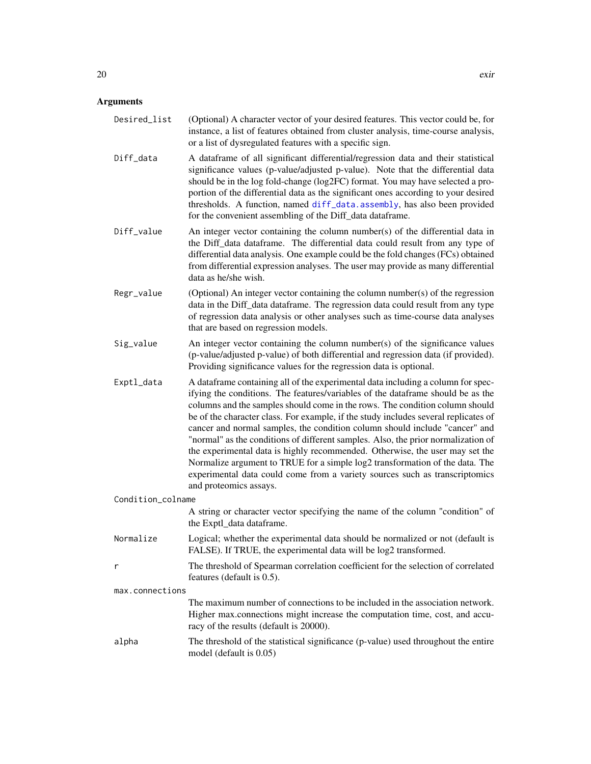<span id="page-19-0"></span>

| Desired_list | (Optional) A character vector of your desired features. This vector could be, for<br>instance, a list of features obtained from cluster analysis, time-course analysis,<br>or a list of dysregulated features with a specific sign.                                                                                                                                                                                                                                                   |
|--------------|---------------------------------------------------------------------------------------------------------------------------------------------------------------------------------------------------------------------------------------------------------------------------------------------------------------------------------------------------------------------------------------------------------------------------------------------------------------------------------------|
| Diff_data    | A dataframe of all significant differential/regression data and their statistical<br>significance values (p-value/adjusted p-value). Note that the differential data<br>should be in the log fold-change (log2FC) format. You may have selected a pro-<br>portion of the differential data as the significant ones according to your desired<br>thresholds. A function, named diff_data.assembly, has also been provided<br>for the convenient assembling of the Diff_data dataframe. |
| Diff_value   | An integer vector containing the column number(s) of the differential data in<br>the Diff_data dataframe. The differential data could result from any type of<br>differential data analysis. One example could be the fold changes (FCs) obtained<br>from differential expression analyses. The user may provide as many differential<br>data as he/she wish.                                                                                                                         |
| Regr_value   | (Optional) An integer vector containing the column number(s) of the regression<br>data in the Diff_data dataframe. The regression data could result from any type<br>of regression data analysis or other analyses such as time-course data analyses<br>that are based on regression models.                                                                                                                                                                                          |
| Sig_value    | An integer vector containing the column number(s) of the significance values<br>(p-value/adjusted p-value) of both differential and regression data (if provided).<br>Providing significance values for the regression data is optional.                                                                                                                                                                                                                                              |
|              | A characteristic constanting and $\mathcal{L}$ the corresponding control character of control construction of the corresponding $\mathcal{L}$                                                                                                                                                                                                                                                                                                                                         |

Exptl\_data A dataframe containing all of the experimental data including a column for specifying the conditions. The features/variables of the dataframe should be as the columns and the samples should come in the rows. The condition column should be of the character class. For example, if the study includes several replicates of cancer and normal samples, the condition column should include "cancer" and "normal" as the conditions of different samples. Also, the prior normalization of the experimental data is highly recommended. Otherwise, the user may set the Normalize argument to TRUE for a simple log2 transformation of the data. The experimental data could come from a variety sources such as transcriptomics and proteomics assays.

Condition\_colname

A string or character vector specifying the name of the column "condition" of the Exptl\_data dataframe.

- Normalize Logical; whether the experimental data should be normalized or not (default is FALSE). If TRUE, the experimental data will be log2 transformed.
- r The threshold of Spearman correlation coefficient for the selection of correlated features (default is 0.5).

max.connections

The maximum number of connections to be included in the association network. Higher max.connections might increase the computation time, cost, and accuracy of the results (default is 20000).

alpha The threshold of the statistical significance (p-value) used throughout the entire model (default is 0.05)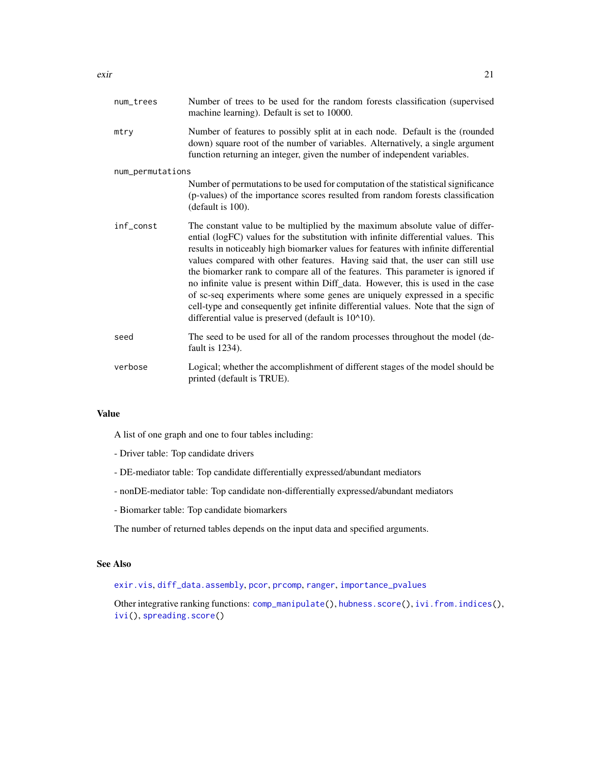<span id="page-20-0"></span>

| num_trees        | Number of trees to be used for the random forests classification (supervised<br>machine learning). Default is set to 10000.                                                                                                                                                                                                                                                                                                                                                                                                                                                                                                                                                                                                                   |
|------------------|-----------------------------------------------------------------------------------------------------------------------------------------------------------------------------------------------------------------------------------------------------------------------------------------------------------------------------------------------------------------------------------------------------------------------------------------------------------------------------------------------------------------------------------------------------------------------------------------------------------------------------------------------------------------------------------------------------------------------------------------------|
| mtry             | Number of features to possibly split at in each node. Default is the (rounded<br>down) square root of the number of variables. Alternatively, a single argument<br>function returning an integer, given the number of independent variables.                                                                                                                                                                                                                                                                                                                                                                                                                                                                                                  |
| num_permutations |                                                                                                                                                                                                                                                                                                                                                                                                                                                                                                                                                                                                                                                                                                                                               |
|                  | Number of permutations to be used for computation of the statistical significance<br>(p-values) of the importance scores resulted from random forests classification<br>(default is 100).                                                                                                                                                                                                                                                                                                                                                                                                                                                                                                                                                     |
| inf_const        | The constant value to be multiplied by the maximum absolute value of differ-<br>ential (logFC) values for the substitution with infinite differential values. This<br>results in noticeably high biomarker values for features with infinite differential<br>values compared with other features. Having said that, the user can still use<br>the biomarker rank to compare all of the features. This parameter is ignored if<br>no infinite value is present within Diff_data. However, this is used in the case<br>of sc-seq experiments where some genes are uniquely expressed in a specific<br>cell-type and consequently get infinite differential values. Note that the sign of<br>differential value is preserved (default is 10^10). |
| seed             | The seed to be used for all of the random processes throughout the model (de-<br>fault is $1234$ ).                                                                                                                                                                                                                                                                                                                                                                                                                                                                                                                                                                                                                                           |
| verbose          | Logical; whether the accomplishment of different stages of the model should be<br>printed (default is TRUE).                                                                                                                                                                                                                                                                                                                                                                                                                                                                                                                                                                                                                                  |

#### Value

A list of one graph and one to four tables including:

- Driver table: Top candidate drivers
- DE-mediator table: Top candidate differentially expressed/abundant mediators
- nonDE-mediator table: Top candidate non-differentially expressed/abundant mediators
- Biomarker table: Top candidate biomarkers

The number of returned tables depends on the input data and specified arguments.

# See Also

[exir.vis](#page-21-1), [diff\\_data.assembly](#page-14-1), [pcor](#page-0-0), [prcomp](#page-0-0), [ranger](#page-0-0), [importance\\_pvalues](#page-0-0)

Other integrative ranking functions: [comp\\_manipulate\(](#page-10-1)), [hubness.score\(](#page-27-1)), [ivi.from.indices\(](#page-31-1)), [ivi\(](#page-29-1)), [spreading.score\(](#page-36-1))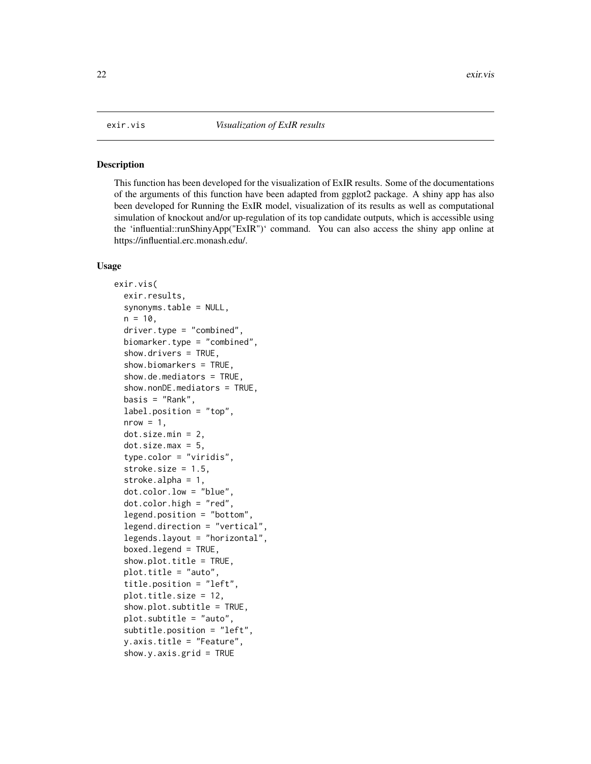#### <span id="page-21-1"></span><span id="page-21-0"></span>Description

This function has been developed for the visualization of ExIR results. Some of the documentations of the arguments of this function have been adapted from ggplot2 package. A shiny app has also been developed for Running the ExIR model, visualization of its results as well as computational simulation of knockout and/or up-regulation of its top candidate outputs, which is accessible using the 'influential::runShinyApp("ExIR")' command. You can also access the shiny app online at https://influential.erc.monash.edu/.

```
exir.vis(
  exir.results,
  synonyms.table = NULL,
  n = 10,
  driver.type = "combined",
  biomarker.type = "combined",
  show.drivers = TRUE,
  show.biomarkers = TRUE,
  show.de.mediators = TRUE,
  show.nonDE.mediators = TRUE,
  basis = "Rank".label.position = "top",
  nrow = 1,
  dot.size.min = 2,dot.size.max = 5,
  type.color = "viridis",
  stroke.size = 1.5,
  stroke.alpha = 1,
  dot.color.low = "blue",
  dot.color.high = "red",
  legend.position = "bottom",
  legend.direction = "vertical",
  legends.layout = "horizontal",
  boxed.legend = TRUE,
  show.plot.title = TRUE,
  plot.title = "auto",
  title.position = "left",
  plot.title.size = 12,
  show.plot.subtitle = TRUE,
  plot.subtitle = "auto",
  subtitle.position = "left",
  y.axis.title = "Feature",
  show.y.axis.grid = TRUE
```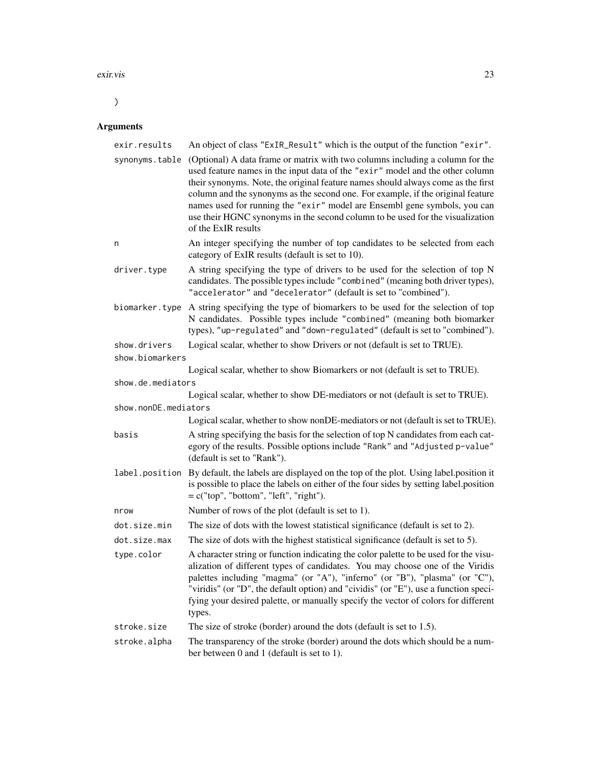#### exir.vis 23

 $\overline{)}$ 

# Arguments

| exir.results                    | An object of class "ExIR_Result" which is the output of the function "exir".                                                                                                                                                                                                                                                                                                                                                                                                                                               |
|---------------------------------|----------------------------------------------------------------------------------------------------------------------------------------------------------------------------------------------------------------------------------------------------------------------------------------------------------------------------------------------------------------------------------------------------------------------------------------------------------------------------------------------------------------------------|
| synonyms.table                  | (Optional) A data frame or matrix with two columns including a column for the<br>used feature names in the input data of the "exir" model and the other column<br>their synonyms. Note, the original feature names should always come as the first<br>column and the synonyms as the second one. For example, if the original feature<br>names used for running the "exir" model are Ensembl gene symbols, you can<br>use their HGNC synonyms in the second column to be used for the visualization<br>of the ExIR results |
| n                               | An integer specifying the number of top candidates to be selected from each<br>category of ExIR results (default is set to 10).                                                                                                                                                                                                                                                                                                                                                                                            |
| driver.type                     | A string specifying the type of drivers to be used for the selection of top N<br>candidates. The possible types include "combined" (meaning both driver types),<br>"accelerator" and "decelerator" (default is set to "combined").                                                                                                                                                                                                                                                                                         |
|                                 | biomarker. type A string specifying the type of biomarkers to be used for the selection of top<br>N candidates. Possible types include "combined" (meaning both biomarker<br>types), "up-regulated" and "down-regulated" (default is set to "combined").                                                                                                                                                                                                                                                                   |
| show.drivers<br>show.biomarkers | Logical scalar, whether to show Drivers or not (default is set to TRUE).                                                                                                                                                                                                                                                                                                                                                                                                                                                   |
|                                 | Logical scalar, whether to show Biomarkers or not (default is set to TRUE).                                                                                                                                                                                                                                                                                                                                                                                                                                                |
| show.de.mediators               |                                                                                                                                                                                                                                                                                                                                                                                                                                                                                                                            |
| show.nonDE.mediators            | Logical scalar, whether to show DE-mediators or not (default is set to TRUE).                                                                                                                                                                                                                                                                                                                                                                                                                                              |
|                                 | Logical scalar, whether to show nonDE-mediators or not (default is set to TRUE).                                                                                                                                                                                                                                                                                                                                                                                                                                           |
| basis                           | A string specifying the basis for the selection of top N candidates from each cat-<br>egory of the results. Possible options include "Rank" and "Adjusted p-value"<br>(default is set to "Rank").                                                                                                                                                                                                                                                                                                                          |
|                                 | label.position By default, the labels are displayed on the top of the plot. Using label.position it<br>is possible to place the labels on either of the four sides by setting label.position<br>$= c("top", "bottom", "left", "right").$                                                                                                                                                                                                                                                                                   |
| nrow                            | Number of rows of the plot (default is set to 1).                                                                                                                                                                                                                                                                                                                                                                                                                                                                          |
| dot.size.min                    | The size of dots with the lowest statistical significance (default is set to 2).                                                                                                                                                                                                                                                                                                                                                                                                                                           |
| dot.size.max                    | The size of dots with the highest statistical significance (default is set to 5).                                                                                                                                                                                                                                                                                                                                                                                                                                          |
| type.color                      | A character string or function indicating the color palette to be used for the visu-<br>alization of different types of candidates. You may choose one of the Viridis<br>palettes including "magma" (or "A"), "inferno" (or "B"), "plasma" (or "C"),<br>"viridis" (or "D", the default option) and "cividis" (or "E"), use a function speci-<br>fying your desired palette, or manually specify the vector of colors for different<br>types.                                                                               |
| stroke.size                     | The size of stroke (border) around the dots (default is set to 1.5).                                                                                                                                                                                                                                                                                                                                                                                                                                                       |
| stroke.alpha                    | The transparency of the stroke (border) around the dots which should be a num-<br>ber between 0 and 1 (default is set to 1).                                                                                                                                                                                                                                                                                                                                                                                               |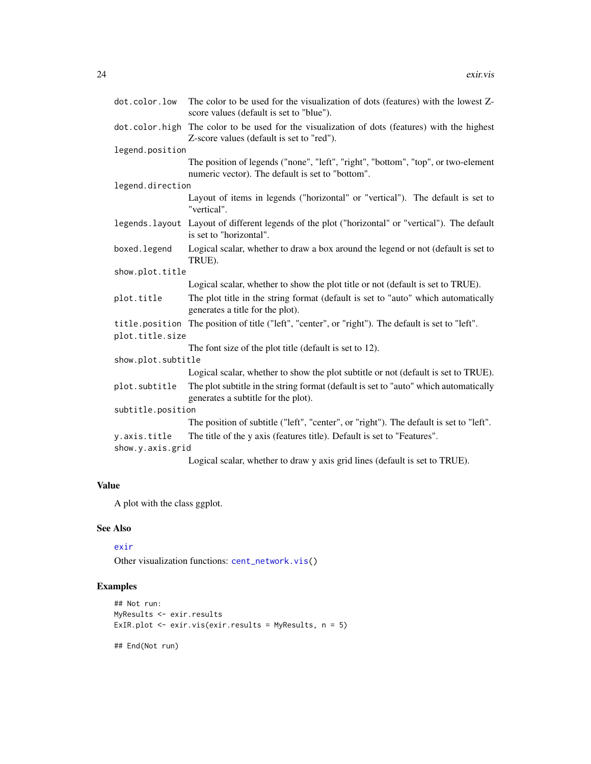<span id="page-23-0"></span>

| dot.color.low      | The color to be used for the visualization of dots (features) with the lowest Z-<br>score values (default is set to "blue").          |  |
|--------------------|---------------------------------------------------------------------------------------------------------------------------------------|--|
| dot.color.high     | The color to be used for the visualization of dots (features) with the highest<br>Z-score values (default is set to "red").           |  |
| legend.position    |                                                                                                                                       |  |
|                    | The position of legends ("none", "left", "right", "bottom", "top", or two-element<br>numeric vector). The default is set to "bottom". |  |
| legend.direction   |                                                                                                                                       |  |
|                    | Layout of items in legends ("horizontal" or "vertical"). The default is set to<br>"vertical".                                         |  |
|                    | legends. layout Layout of different legends of the plot ("horizontal" or "vertical"). The default<br>is set to "horizontal".          |  |
| boxed.legend       | Logical scalar, whether to draw a box around the legend or not (default is set to<br>TRUE).                                           |  |
| show.plot.title    |                                                                                                                                       |  |
|                    | Logical scalar, whether to show the plot title or not (default is set to TRUE).                                                       |  |
| plot.title         | The plot title in the string format (default is set to "auto" which automatically<br>generates a title for the plot).                 |  |
| plot.title.size    | title.position The position of title ("left", "center", or "right"). The default is set to "left".                                    |  |
|                    | The font size of the plot title (default is set to 12).                                                                               |  |
| show.plot.subtitle |                                                                                                                                       |  |
|                    | Logical scalar, whether to show the plot subtitle or not (default is set to TRUE).                                                    |  |
| plot.subtitle      | The plot subtitle in the string format (default is set to "auto" which automatically<br>generates a subtitle for the plot).           |  |
| subtitle.position  |                                                                                                                                       |  |
|                    | The position of subtitle ("left", "center", or "right"). The default is set to "left".                                                |  |
| y.axis.title       | The title of the y axis (features title). Default is set to "Features".                                                               |  |
| show.y.axis.grid   |                                                                                                                                       |  |
|                    | Logical scalar, whether to draw y axis grid lines (default is set to TRUE).                                                           |  |

# Value

A plot with the class ggplot.

# See Also

# [exir](#page-18-1)

Other visualization functions: [cent\\_network.vis\(](#page-4-1))

# Examples

```
## Not run:
MyResults <- exir.results
ExIR.plot <- exir.vis(exir.results = MyResults, n = 5)
## End(Not run)
```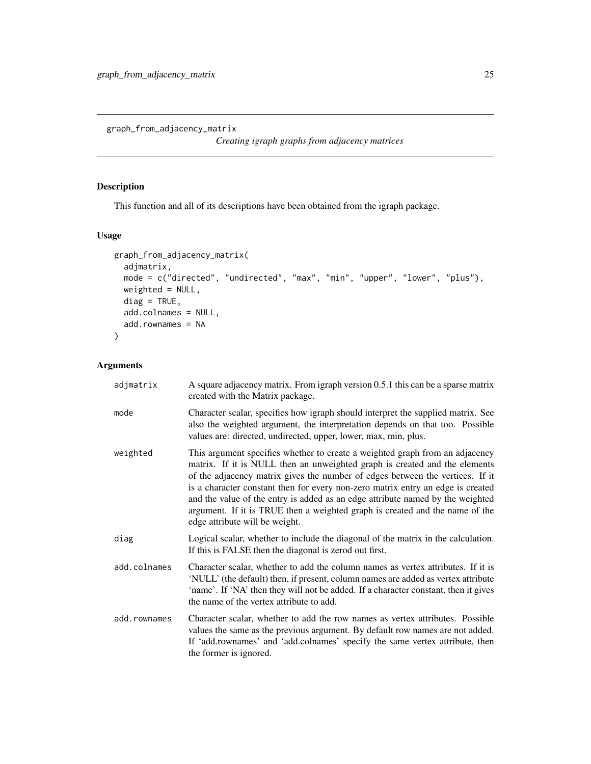<span id="page-24-1"></span><span id="page-24-0"></span>graph\_from\_adjacency\_matrix

*Creating igraph graphs from adjacency matrices*

# Description

This function and all of its descriptions have been obtained from the igraph package.

## Usage

```
graph_from_adjacency_matrix(
 adjmatrix,
 mode = c("directed", "undirected", "max", "min", "upper", "lower", "plus"),
 weighted = NULL,
 diag = TRUE,add.colnames = NULL,
 add.rownames = NA
\mathcal{L}
```
# Arguments

| adjmatrix    | A square adjacency matrix. From igraph version 0.5.1 this can be a sparse matrix<br>created with the Matrix package.                                                                                                                                                                                                                                                                                                                                                                                                               |
|--------------|------------------------------------------------------------------------------------------------------------------------------------------------------------------------------------------------------------------------------------------------------------------------------------------------------------------------------------------------------------------------------------------------------------------------------------------------------------------------------------------------------------------------------------|
| mode         | Character scalar, specifies how igraph should interpret the supplied matrix. See<br>also the weighted argument, the interpretation depends on that too. Possible<br>values are: directed, undirected, upper, lower, max, min, plus.                                                                                                                                                                                                                                                                                                |
| weighted     | This argument specifies whether to create a weighted graph from an adjacency<br>matrix. If it is NULL then an unweighted graph is created and the elements<br>of the adjacency matrix gives the number of edges between the vertices. If it<br>is a character constant then for every non-zero matrix entry an edge is created<br>and the value of the entry is added as an edge attribute named by the weighted<br>argument. If it is TRUE then a weighted graph is created and the name of the<br>edge attribute will be weight. |
| diag         | Logical scalar, whether to include the diagonal of the matrix in the calculation.<br>If this is FALSE then the diagonal is zerod out first.                                                                                                                                                                                                                                                                                                                                                                                        |
| add.colnames | Character scalar, whether to add the column names as vertex attributes. If it is<br>'NULL' (the default) then, if present, column names are added as vertex attribute<br>'name'. If 'NA' then they will not be added. If a character constant, then it gives<br>the name of the vertex attribute to add.                                                                                                                                                                                                                           |
| add.rownames | Character scalar, whether to add the row names as vertex attributes. Possible<br>values the same as the previous argument. By default row names are not added.<br>If 'add.rownames' and 'add.colnames' specify the same vertex attribute, then<br>the former is ignored.                                                                                                                                                                                                                                                           |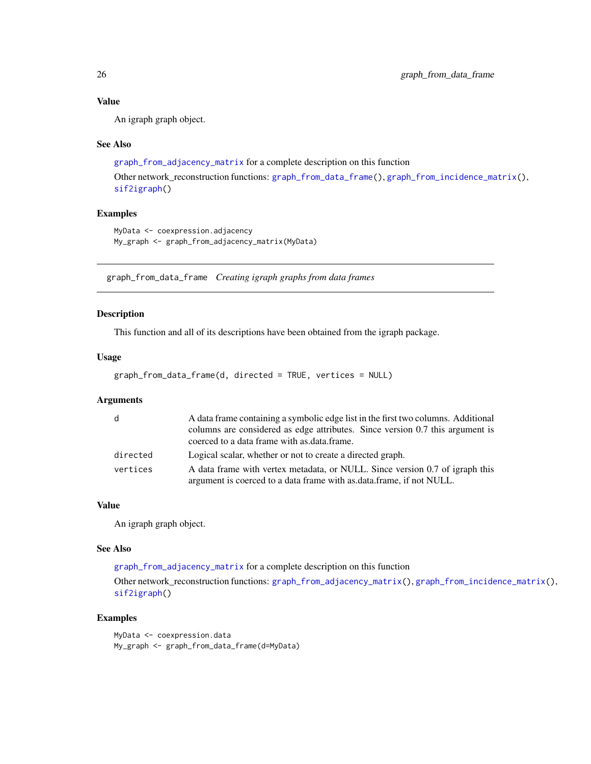# Value

An igraph graph object.

#### See Also

```
graph_from_adjacency_matrix for a complete description on this function
Other network_reconstruction functions: graph_from_data_frame(), graph_from_incidence_matrix(),
sif2igraph()
```
#### Examples

```
MyData <- coexpression.adjacency
My_graph <- graph_from_adjacency_matrix(MyData)
```
<span id="page-25-1"></span>graph\_from\_data\_frame *Creating igraph graphs from data frames*

#### Description

This function and all of its descriptions have been obtained from the igraph package.

# Usage

```
graph_from_data_frame(d, directed = TRUE, vertices = NULL)
```
#### **Arguments**

| d        | A data frame containing a symbolic edge list in the first two columns. Additional |
|----------|-----------------------------------------------------------------------------------|
|          | columns are considered as edge attributes. Since version 0.7 this argument is     |
|          | coerced to a data frame with as data frame.                                       |
| directed | Logical scalar, whether or not to create a directed graph.                        |
| vertices | A data frame with vertex metadata, or NULL. Since version 0.7 of igraph this      |
|          | argument is coerced to a data frame with as data frame, if not NULL.              |

#### Value

An igraph graph object.

#### See Also

[graph\\_from\\_adjacency\\_matrix](#page-24-1) for a complete description on this function

Other network\_reconstruction functions: [graph\\_from\\_adjacency\\_matrix\(](#page-24-1)), [graph\\_from\\_incidence\\_matrix\(](#page-26-1)), [sif2igraph\(](#page-34-1))

## Examples

MyData <- coexpression.data My\_graph <- graph\_from\_data\_frame(d=MyData)

<span id="page-25-0"></span>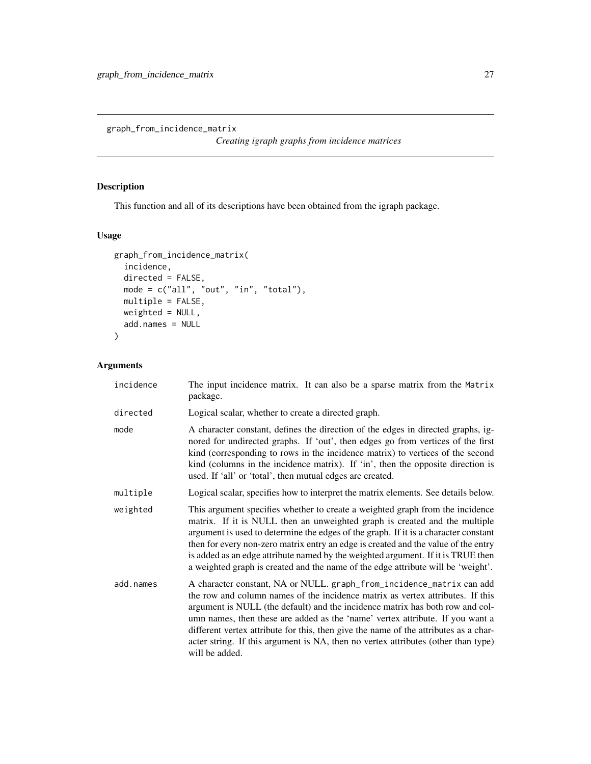<span id="page-26-1"></span><span id="page-26-0"></span>graph\_from\_incidence\_matrix

*Creating igraph graphs from incidence matrices*

# Description

This function and all of its descriptions have been obtained from the igraph package.

# Usage

```
graph_from_incidence_matrix(
 incidence,
 directed = FALSE,
 mode = c("all", "out", "in", "total"),
 multiple = FALSE,
 weighted = NULL,
 add.names = NULL
\mathcal{L}
```
# Arguments

| incidence | The input incidence matrix. It can also be a sparse matrix from the Matrix<br>package.                                                                                                                                                                                                                                                                                                                                                                                                                                   |
|-----------|--------------------------------------------------------------------------------------------------------------------------------------------------------------------------------------------------------------------------------------------------------------------------------------------------------------------------------------------------------------------------------------------------------------------------------------------------------------------------------------------------------------------------|
| directed  | Logical scalar, whether to create a directed graph.                                                                                                                                                                                                                                                                                                                                                                                                                                                                      |
| mode      | A character constant, defines the direction of the edges in directed graphs, ig-<br>nored for undirected graphs. If 'out', then edges go from vertices of the first<br>kind (corresponding to rows in the incidence matrix) to vertices of the second<br>kind (columns in the incidence matrix). If 'in', then the opposite direction is<br>used. If 'all' or 'total', then mutual edges are created.                                                                                                                    |
| multiple  | Logical scalar, specifies how to interpret the matrix elements. See details below.                                                                                                                                                                                                                                                                                                                                                                                                                                       |
| weighted  | This argument specifies whether to create a weighted graph from the incidence<br>matrix. If it is NULL then an unweighted graph is created and the multiple<br>argument is used to determine the edges of the graph. If it is a character constant<br>then for every non-zero matrix entry an edge is created and the value of the entry<br>is added as an edge attribute named by the weighted argument. If it is TRUE then<br>a weighted graph is created and the name of the edge attribute will be 'weight'.         |
| add.names | A character constant, NA or NULL. graph_from_incidence_matrix can add<br>the row and column names of the incidence matrix as vertex attributes. If this<br>argument is NULL (the default) and the incidence matrix has both row and col-<br>umn names, then these are added as the 'name' vertex attribute. If you want a<br>different vertex attribute for this, then give the name of the attributes as a char-<br>acter string. If this argument is NA, then no vertex attributes (other than type)<br>will be added. |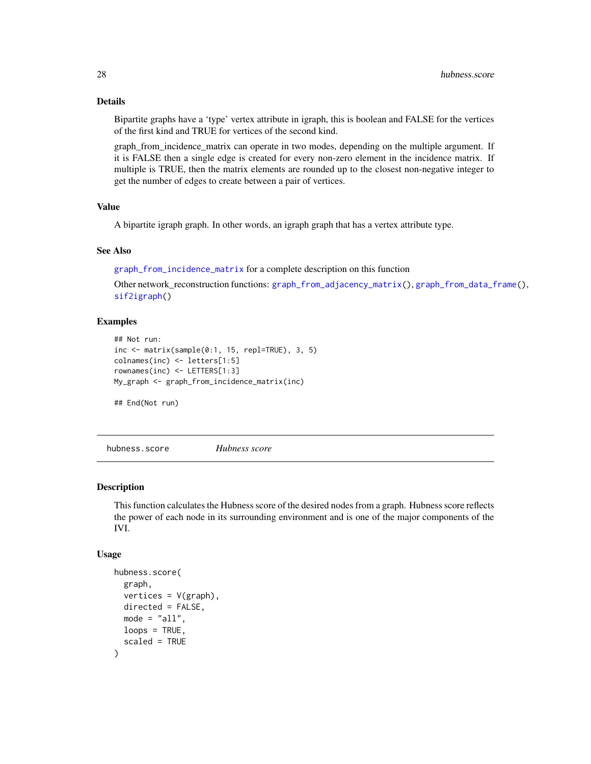### <span id="page-27-0"></span>Details

Bipartite graphs have a 'type' vertex attribute in igraph, this is boolean and FALSE for the vertices of the first kind and TRUE for vertices of the second kind.

graph\_from\_incidence\_matrix can operate in two modes, depending on the multiple argument. If it is FALSE then a single edge is created for every non-zero element in the incidence matrix. If multiple is TRUE, then the matrix elements are rounded up to the closest non-negative integer to get the number of edges to create between a pair of vertices.

# Value

A bipartite igraph graph. In other words, an igraph graph that has a vertex attribute type.

# See Also

[graph\\_from\\_incidence\\_matrix](#page-26-1) for a complete description on this function

Other network\_reconstruction functions: [graph\\_from\\_adjacency\\_matrix\(](#page-24-1)), [graph\\_from\\_data\\_frame\(](#page-25-1)), [sif2igraph\(](#page-34-1))

#### Examples

```
## Not run:
inc <- matrix(sample(0:1, 15, repl=TRUE), 3, 5)
colnames(inc) <- letters[1:5]
rownames(inc) <- LETTERS[1:3]
My_graph <- graph_from_incidence_matrix(inc)
```
## End(Not run)

<span id="page-27-1"></span>hubness.score *Hubness score*

#### Description

This function calculates the Hubness score of the desired nodes from a graph. Hubness score reflects the power of each node in its surrounding environment and is one of the major components of the IVI.

```
hubness.score(
  graph,
  vertices = V(graph),
 directed = FALSE,
 mode = "all",
 loops = TRUE,scaled = TRUE
)
```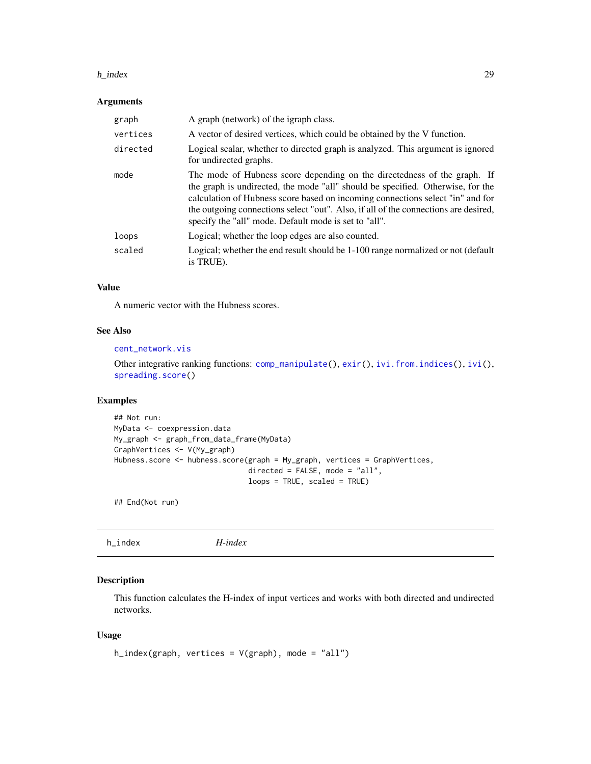#### <span id="page-28-0"></span>h\_index 29

### Arguments

| graph    | A graph (network) of the igraph class.                                                                                                                                                                                                                                                                                                                                                        |
|----------|-----------------------------------------------------------------------------------------------------------------------------------------------------------------------------------------------------------------------------------------------------------------------------------------------------------------------------------------------------------------------------------------------|
| vertices | A vector of desired vertices, which could be obtained by the V function.                                                                                                                                                                                                                                                                                                                      |
| directed | Logical scalar, whether to directed graph is analyzed. This argument is ignored<br>for undirected graphs.                                                                                                                                                                                                                                                                                     |
| mode     | The mode of Hubness score depending on the directedness of the graph. If<br>the graph is undirected, the mode "all" should be specified. Otherwise, for the<br>calculation of Hubness score based on incoming connections select "in" and for<br>the outgoing connections select "out". Also, if all of the connections are desired,<br>specify the "all" mode. Default mode is set to "all". |
| loops    | Logical; whether the loop edges are also counted.                                                                                                                                                                                                                                                                                                                                             |
| scaled   | Logical; whether the end result should be 1-100 range normalized or not (default<br>is TRUE).                                                                                                                                                                                                                                                                                                 |

#### Value

A numeric vector with the Hubness scores.

### See Also

#### [cent\\_network.vis](#page-4-1)

Other integrative ranking functions: [comp\\_manipulate\(](#page-10-1)), [exir\(](#page-18-1)), [ivi.from.indices\(](#page-31-1)), [ivi\(](#page-29-1)), [spreading.score\(](#page-36-1))

# Examples

```
## Not run:
MyData <- coexpression.data
My_graph <- graph_from_data_frame(MyData)
GraphVertices <- V(My_graph)
Hubness.score <- hubness.score(graph = My_graph, vertices = GraphVertices,
                               directed = FALSE, mode = "all",
                               loops = TRUE, scaled = TRUE)
```
## End(Not run)

<span id="page-28-1"></span>

| h_index | $H$ -index |
|---------|------------|
|         |            |

# Description

This function calculates the H-index of input vertices and works with both directed and undirected networks.

```
h_index(graph, vertices = V(graph), mode = "all")
```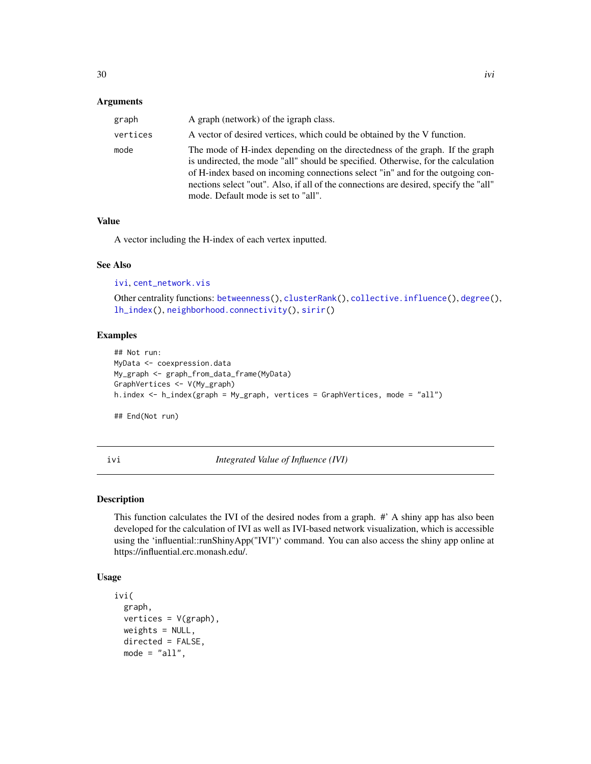#### <span id="page-29-0"></span>**Arguments**

| graph    | A graph (network) of the igraph class.                                                                                                                                                                                                                                                                                                                                              |
|----------|-------------------------------------------------------------------------------------------------------------------------------------------------------------------------------------------------------------------------------------------------------------------------------------------------------------------------------------------------------------------------------------|
| vertices | A vector of desired vertices, which could be obtained by the V function.                                                                                                                                                                                                                                                                                                            |
| mode     | The mode of H-index depending on the directedness of the graph. If the graph<br>is undirected, the mode "all" should be specified. Otherwise, for the calculation<br>of H-index based on incoming connections select "in" and for the outgoing con-<br>nections select "out". Also, if all of the connections are desired, specify the "all"<br>mode. Default mode is set to "all". |

#### Value

A vector including the H-index of each vertex inputted.

#### See Also

[ivi](#page-29-1), [cent\\_network.vis](#page-4-1)

Other centrality functions: [betweenness\(](#page-2-1)), [clusterRank\(](#page-7-1)), [collective.influence\(](#page-9-1)), [degree\(](#page-13-1)), [lh\\_index\(](#page-32-1)), [neighborhood.connectivity\(](#page-33-1)), [sirir\(](#page-35-1))

# Examples

```
## Not run:
MyData <- coexpression.data
My_graph <- graph_from_data_frame(MyData)
GraphVertices <- V(My_graph)
h.index <- h_index(graph = My_graph, vertices = GraphVertices, mode = "all")
```
## End(Not run)

<span id="page-29-1"></span>ivi *Integrated Value of Influence (IVI)*

# Description

This function calculates the IVI of the desired nodes from a graph. #' A shiny app has also been developed for the calculation of IVI as well as IVI-based network visualization, which is accessible using the 'influential::runShinyApp("IVI")' command. You can also access the shiny app online at https://influential.erc.monash.edu/.

```
ivi(
  graph,
  vertices = V(\text{graph}),
  weights = NULL,directed = FALSE,
  mode = "all",
```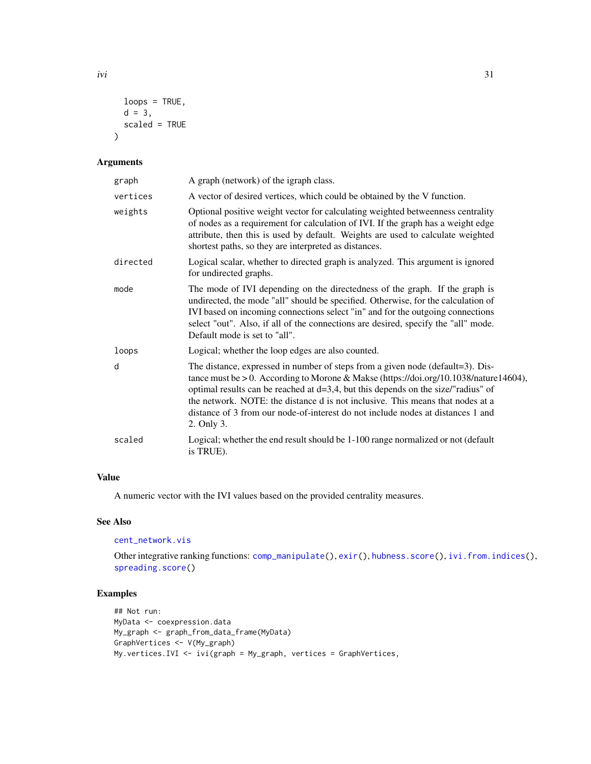```
loops = TRUE,
  d = 3,scaled = TRUE
\mathcal{L}
```
#### Arguments

| graph    | A graph (network) of the igraph class.                                                                                                                                                                                                                                                                                                                                                                                                                |
|----------|-------------------------------------------------------------------------------------------------------------------------------------------------------------------------------------------------------------------------------------------------------------------------------------------------------------------------------------------------------------------------------------------------------------------------------------------------------|
| vertices | A vector of desired vertices, which could be obtained by the V function.                                                                                                                                                                                                                                                                                                                                                                              |
| weights  | Optional positive weight vector for calculating weighted betweenness centrality<br>of nodes as a requirement for calculation of IVI. If the graph has a weight edge<br>attribute, then this is used by default. Weights are used to calculate weighted<br>shortest paths, so they are interpreted as distances.                                                                                                                                       |
| directed | Logical scalar, whether to directed graph is analyzed. This argument is ignored<br>for undirected graphs.                                                                                                                                                                                                                                                                                                                                             |
| mode     | The mode of IVI depending on the directedness of the graph. If the graph is<br>undirected, the mode "all" should be specified. Otherwise, for the calculation of<br>IVI based on incoming connections select "in" and for the outgoing connections<br>select "out". Also, if all of the connections are desired, specify the "all" mode.<br>Default mode is set to "all".                                                                             |
| loops    | Logical; whether the loop edges are also counted.                                                                                                                                                                                                                                                                                                                                                                                                     |
| d        | The distance, expressed in number of steps from a given node (default=3). Dis-<br>tance must be $> 0$ . According to Morone & Makse (https://doi.org/10.1038/nature14604),<br>optimal results can be reached at $d=3,4$ , but this depends on the size/"radius" of<br>the network. NOTE: the distance d is not inclusive. This means that nodes at a<br>distance of 3 from our node-of-interest do not include nodes at distances 1 and<br>2. Only 3. |
| scaled   | Logical; whether the end result should be 1-100 range normalized or not (default<br>is TRUE).                                                                                                                                                                                                                                                                                                                                                         |

# Value

A numeric vector with the IVI values based on the provided centrality measures.

## See Also

[cent\\_network.vis](#page-4-1)

Other integrative ranking functions: [comp\\_manipulate\(](#page-10-1)), [exir\(](#page-18-1)), [hubness.score\(](#page-27-1)), [ivi.from.indices\(](#page-31-1)), [spreading.score\(](#page-36-1))

# Examples

```
## Not run:
MyData <- coexpression.data
My_graph <- graph_from_data_frame(MyData)
GraphVertices <- V(My_graph)
My.vertices.IVI <- ivi(graph = My_graph, vertices = GraphVertices,
```
<span id="page-30-0"></span>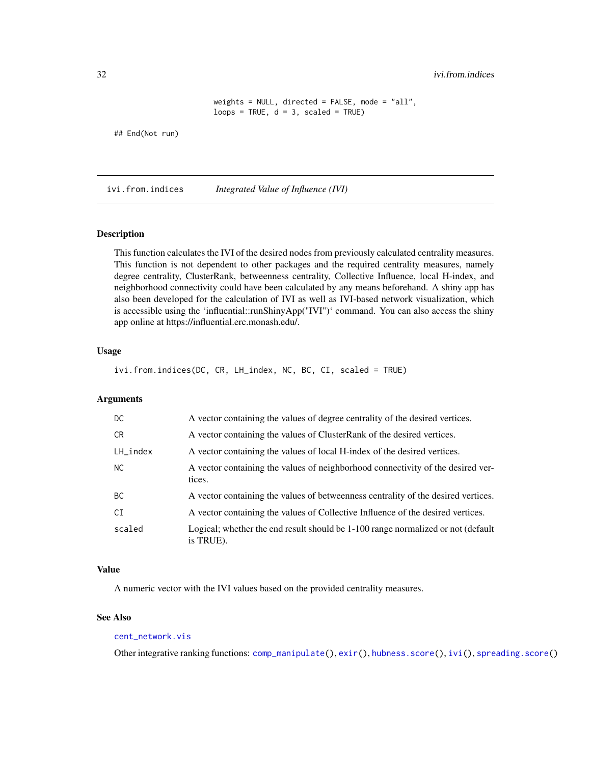<span id="page-31-0"></span>32 ivi.from.indices

```
weights = NULL, directed = FALSE, mode = "all",
loops = TRUE, d = 3, scaled = TRUE)
```
## End(Not run)

<span id="page-31-1"></span>ivi.from.indices *Integrated Value of Influence (IVI)*

# Description

This function calculates the IVI of the desired nodes from previously calculated centrality measures. This function is not dependent to other packages and the required centrality measures, namely degree centrality, ClusterRank, betweenness centrality, Collective Influence, local H-index, and neighborhood connectivity could have been calculated by any means beforehand. A shiny app has also been developed for the calculation of IVI as well as IVI-based network visualization, which is accessible using the 'influential::runShinyApp("IVI")' command. You can also access the shiny app online at https://influential.erc.monash.edu/.

#### Usage

ivi.from.indices(DC, CR, LH\_index, NC, BC, CI, scaled = TRUE)

#### Arguments

| DC.         | A vector containing the values of degree centrality of the desired vertices.                  |
|-------------|-----------------------------------------------------------------------------------------------|
| CR.         | A vector containing the values of ClusterRank of the desired vertices.                        |
| $LH\_index$ | A vector containing the values of local H-index of the desired vertices.                      |
| NC.         | A vector containing the values of neighborhood connectivity of the desired ver-<br>tices.     |
| <b>BC</b>   | A vector containing the values of betweenness centrality of the desired vertices.             |
| CI          | A vector containing the values of Collective Influence of the desired vertices.               |
| scaled      | Logical; whether the end result should be 1-100 range normalized or not (default<br>is TRUE). |

#### Value

A numeric vector with the IVI values based on the provided centrality measures.

## See Also

# [cent\\_network.vis](#page-4-1)

Other integrative ranking functions: [comp\\_manipulate\(](#page-10-1)), [exir\(](#page-18-1)), [hubness.score\(](#page-27-1)), [ivi\(](#page-29-1)), [spreading.score\(](#page-36-1))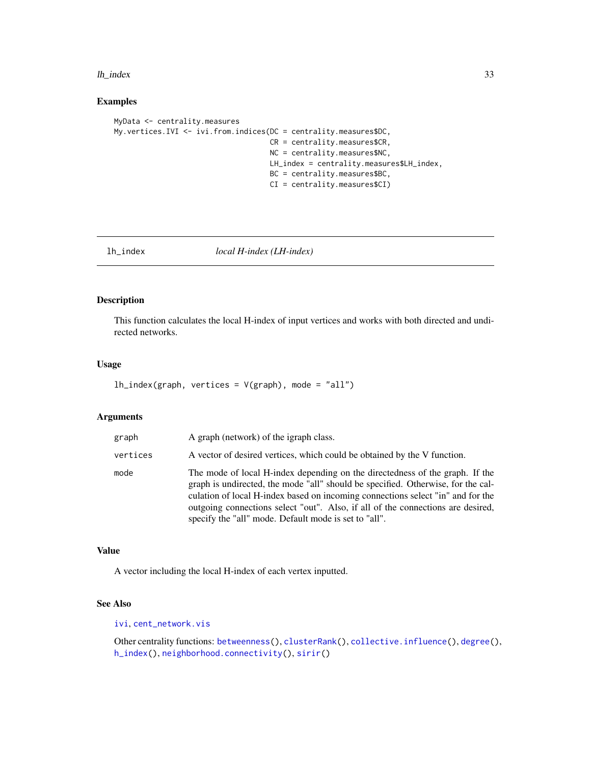#### <span id="page-32-0"></span>lh\_index 33

#### Examples

```
MyData <- centrality.measures
My.vertices.IVI <- ivi.from.indices(DC = centrality.measures$DC,
                                    CR = centrality.measures$CR,
                                    NC = centrality.measures$NC,
                                    LH_index = centrality.measures$LH_index,
                                    BC = centrality.measures$BC,
                                    CI = centrality.measures$CI)
```
<span id="page-32-1"></span>lh\_index *local H-index (LH-index)*

#### Description

This function calculates the local H-index of input vertices and works with both directed and undirected networks.

#### Usage

 $lh\_index(graph, vertices = V(graph), mode = "all")$ 

#### Arguments

| graph    | A graph (network) of the igraph class.                                                                                                                                                                                                                                                                                                                                                          |
|----------|-------------------------------------------------------------------------------------------------------------------------------------------------------------------------------------------------------------------------------------------------------------------------------------------------------------------------------------------------------------------------------------------------|
| vertices | A vector of desired vertices, which could be obtained by the V function.                                                                                                                                                                                                                                                                                                                        |
| mode     | The mode of local H-index depending on the directedness of the graph. If the<br>graph is undirected, the mode "all" should be specified. Otherwise, for the cal-<br>culation of local H-index based on incoming connections select "in" and for the<br>outgoing connections select "out". Also, if all of the connections are desired,<br>specify the "all" mode. Default mode is set to "all". |

#### Value

A vector including the local H-index of each vertex inputted.

# See Also

[ivi](#page-29-1), [cent\\_network.vis](#page-4-1)

Other centrality functions: [betweenness\(](#page-2-1)), [clusterRank\(](#page-7-1)), [collective.influence\(](#page-9-1)), [degree\(](#page-13-1)), [h\\_index\(](#page-28-1)), [neighborhood.connectivity\(](#page-33-1)), [sirir\(](#page-35-1))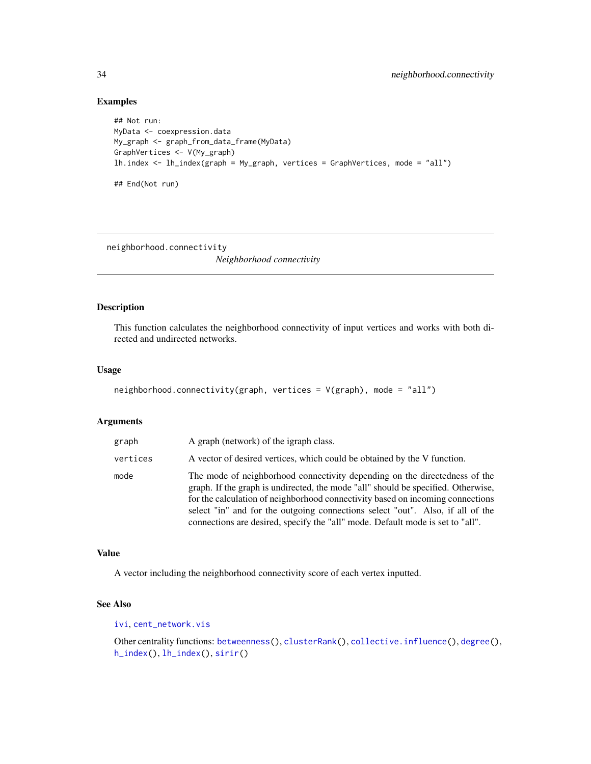#### <span id="page-33-0"></span>Examples

```
## Not run:
MyData <- coexpression.data
My_graph <- graph_from_data_frame(MyData)
GraphVertices <- V(My_graph)
lh.index <- lh_index(graph = My_graph, vertices = GraphVertices, mode = "all")
## End(Not run)
```
<span id="page-33-1"></span>neighborhood.connectivity

*Neighborhood connectivity*

# Description

This function calculates the neighborhood connectivity of input vertices and works with both directed and undirected networks.

#### Usage

```
neighborhood.connectivity(graph, vertices = V(graph), mode = "all")
```
#### Arguments

| graph    | A graph (network) of the igraph class.                                                                                                                                                                                                                                                                                                                                                                                |
|----------|-----------------------------------------------------------------------------------------------------------------------------------------------------------------------------------------------------------------------------------------------------------------------------------------------------------------------------------------------------------------------------------------------------------------------|
| vertices | A vector of desired vertices, which could be obtained by the V function.                                                                                                                                                                                                                                                                                                                                              |
| mode     | The mode of neighborhood connectivity depending on the directedness of the<br>graph. If the graph is undirected, the mode "all" should be specified. Otherwise,<br>for the calculation of neighborhood connectivity based on incoming connections<br>select "in" and for the outgoing connections select "out". Also, if all of the<br>connections are desired, specify the "all" mode. Default mode is set to "all". |

#### Value

A vector including the neighborhood connectivity score of each vertex inputted.

# See Also

[ivi](#page-29-1), [cent\\_network.vis](#page-4-1)

Other centrality functions: [betweenness\(](#page-2-1)), [clusterRank\(](#page-7-1)), [collective.influence\(](#page-9-1)), [degree\(](#page-13-1)), [h\\_index\(](#page-28-1)), [lh\\_index\(](#page-32-1)), [sirir\(](#page-35-1))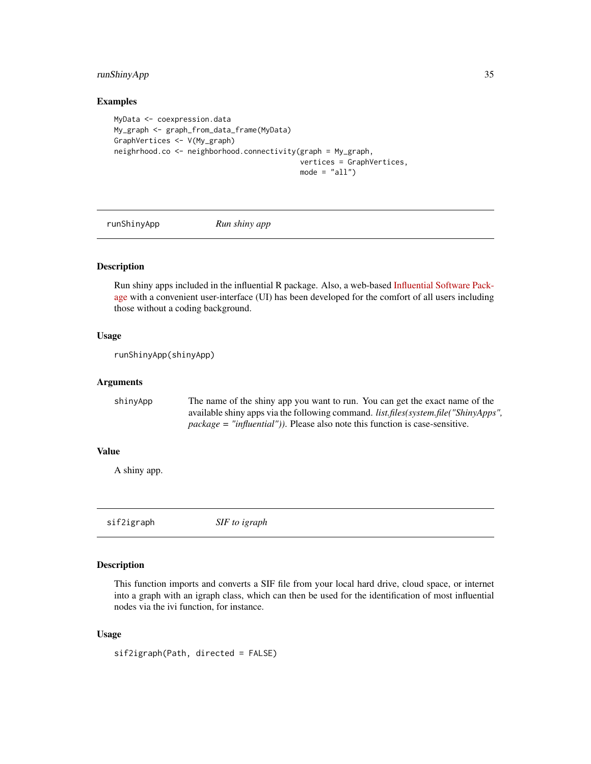# <span id="page-34-0"></span>runShinyApp 35

#### Examples

```
MyData <- coexpression.data
My_graph <- graph_from_data_frame(MyData)
GraphVertices <- V(My_graph)
neighrhood.co <- neighborhood.connectivity(graph = My_graph,
                                           vertices = GraphVertices,
                                           mode = "all")
```
runShinyApp *Run shiny app*

#### Description

Run shiny apps included in the influential R package. Also, a web-based [Influential Software Pack](https://influential.erc.monash.edu/)[age](https://influential.erc.monash.edu/) with a convenient user-interface (UI) has been developed for the comfort of all users including those without a coding background.

#### Usage

runShinyApp(shinyApp)

# Arguments

| shinyApp | The name of the shiny app you want to run. You can get the exact name of the                |
|----------|---------------------------------------------------------------------------------------------|
|          | available shiny apps via the following command. <i>list.files(system.file("ShinyApps"</i> , |
|          | $package = "influential")$ ). Please also note this function is case-sensitive.             |

# Value

A shiny app.

<span id="page-34-1"></span>sif2igraph *SIF to igraph*

#### Description

This function imports and converts a SIF file from your local hard drive, cloud space, or internet into a graph with an igraph class, which can then be used for the identification of most influential nodes via the ivi function, for instance.

#### Usage

sif2igraph(Path, directed = FALSE)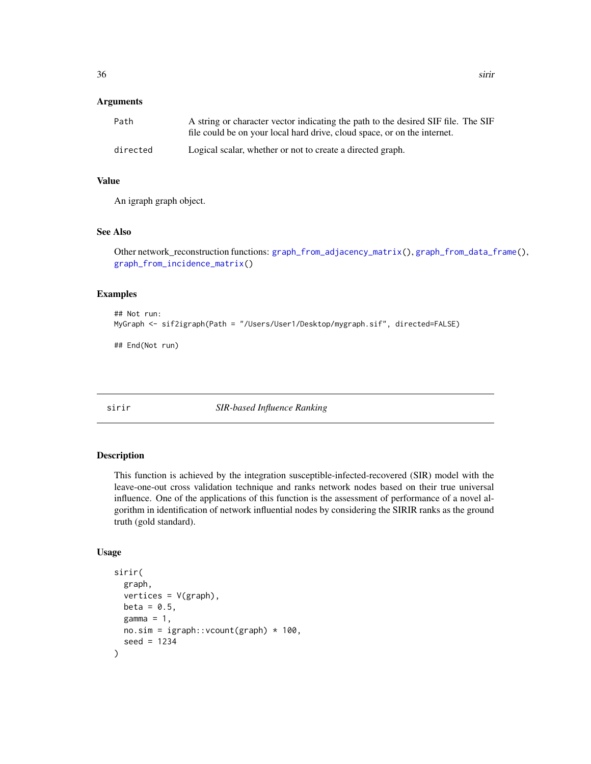#### <span id="page-35-0"></span>Arguments

| Path     | A string or character vector indicating the path to the desired SIF file. The SIF<br>file could be on your local hard drive, cloud space, or on the internet. |
|----------|---------------------------------------------------------------------------------------------------------------------------------------------------------------|
| directed | Logical scalar, whether or not to create a directed graph.                                                                                                    |

# Value

An igraph graph object.

#### See Also

Other network\_reconstruction functions: [graph\\_from\\_adjacency\\_matrix\(](#page-24-1)), [graph\\_from\\_data\\_frame\(](#page-25-1)), [graph\\_from\\_incidence\\_matrix\(](#page-26-1))

# Examples

```
## Not run:
MyGraph <- sif2igraph(Path = "/Users/User1/Desktop/mygraph.sif", directed=FALSE)
```
## End(Not run)

<span id="page-35-1"></span>sirir *SIR-based Influence Ranking*

# Description

This function is achieved by the integration susceptible-infected-recovered (SIR) model with the leave-one-out cross validation technique and ranks network nodes based on their true universal influence. One of the applications of this function is the assessment of performance of a novel algorithm in identification of network influential nodes by considering the SIRIR ranks as the ground truth (gold standard).

```
sirir(
 graph,
 vertices = V(graph),
 beta = 0.5,
 gamma = 1,
 no.sim = igraph::vcount(graph) * 100,seed = 1234
)
```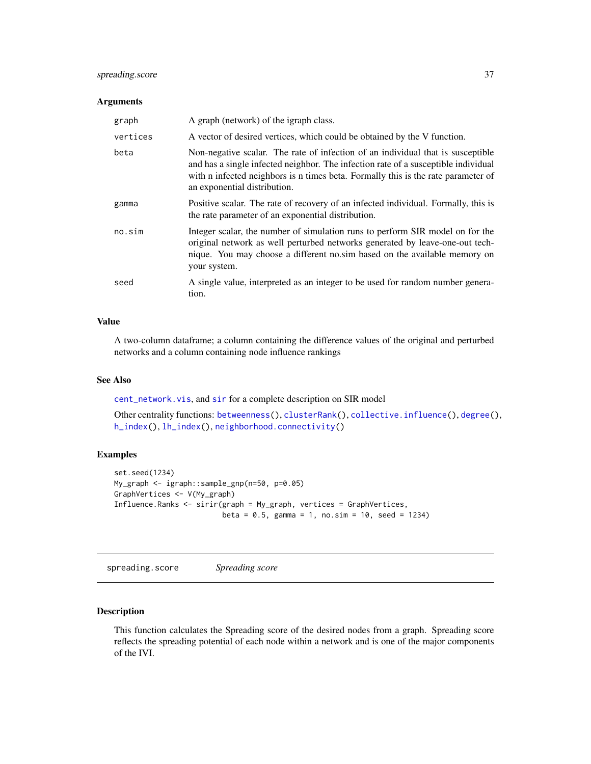# <span id="page-36-0"></span>spreading.score 37

#### Arguments

| graph    | A graph (network) of the igraph class.                                                                                                                                                                                                                                                     |
|----------|--------------------------------------------------------------------------------------------------------------------------------------------------------------------------------------------------------------------------------------------------------------------------------------------|
| vertices | A vector of desired vertices, which could be obtained by the V function.                                                                                                                                                                                                                   |
| beta     | Non-negative scalar. The rate of infection of an individual that is susceptible<br>and has a single infected neighbor. The infection rate of a susceptible individual<br>with n infected neighbors is n times beta. Formally this is the rate parameter of<br>an exponential distribution. |
| gamma    | Positive scalar. The rate of recovery of an infected individual. Formally, this is<br>the rate parameter of an exponential distribution.                                                                                                                                                   |
| no.sim   | Integer scalar, the number of simulation runs to perform SIR model on for the<br>original network as well perturbed networks generated by leave-one-out tech-<br>nique. You may choose a different no.sim based on the available memory on<br>your system.                                 |
| seed     | A single value, interpreted as an integer to be used for random number genera-<br>tion.                                                                                                                                                                                                    |

# Value

A two-column dataframe; a column containing the difference values of the original and perturbed networks and a column containing node influence rankings

#### See Also

[cent\\_network.vis](#page-4-1), and [sir](#page-0-0) for a complete description on SIR model

Other centrality functions: [betweenness\(](#page-2-1)), [clusterRank\(](#page-7-1)), [collective.influence\(](#page-9-1)), [degree\(](#page-13-1)), [h\\_index\(](#page-28-1)), [lh\\_index\(](#page-32-1)), [neighborhood.connectivity\(](#page-33-1))

# Examples

```
set.seed(1234)
My_graph <- igraph::sample_gnp(n=50, p=0.05)
GraphVertices <- V(My_graph)
Influence.Ranks <- sirir(graph = My_graph, vertices = GraphVertices,
                         beta = 0.5, gamma = 1, no.sim = 10, seed = 1234)
```
<span id="page-36-1"></span>spreading.score *Spreading score*

# Description

This function calculates the Spreading score of the desired nodes from a graph. Spreading score reflects the spreading potential of each node within a network and is one of the major components of the IVI.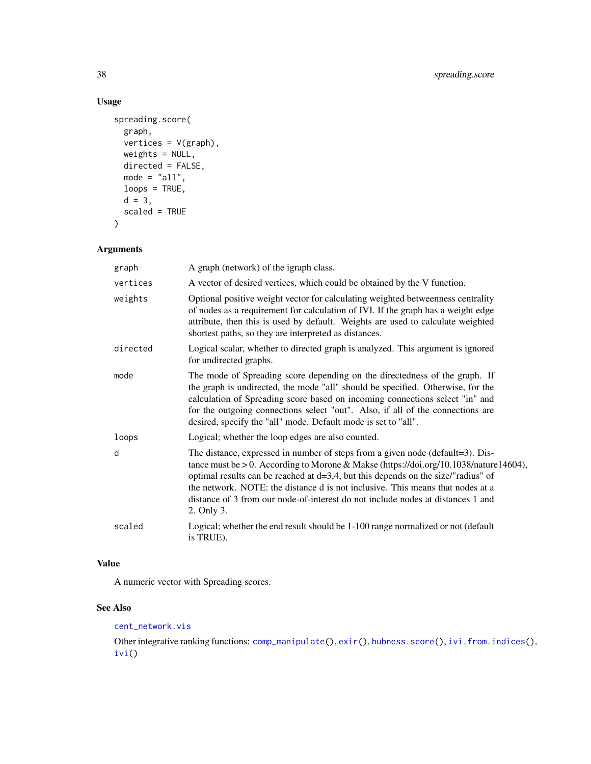# <span id="page-37-0"></span>Usage

```
spreading.score(
 graph,
 vertices = V(graph),
 weights = NULL,
 directed = FALSE,
 mode = "all",loops = TRUE,
 d = 3,scaled = TRUE
\mathcal{L}
```
# Arguments

| graph    | A graph (network) of the igraph class.                                                                                                                                                                                                                                                                                                                                                                                                                |
|----------|-------------------------------------------------------------------------------------------------------------------------------------------------------------------------------------------------------------------------------------------------------------------------------------------------------------------------------------------------------------------------------------------------------------------------------------------------------|
| vertices | A vector of desired vertices, which could be obtained by the V function.                                                                                                                                                                                                                                                                                                                                                                              |
| weights  | Optional positive weight vector for calculating weighted betweenness centrality<br>of nodes as a requirement for calculation of IVI. If the graph has a weight edge<br>attribute, then this is used by default. Weights are used to calculate weighted<br>shortest paths, so they are interpreted as distances.                                                                                                                                       |
| directed | Logical scalar, whether to directed graph is analyzed. This argument is ignored<br>for undirected graphs.                                                                                                                                                                                                                                                                                                                                             |
| mode     | The mode of Spreading score depending on the directedness of the graph. If<br>the graph is undirected, the mode "all" should be specified. Otherwise, for the<br>calculation of Spreading score based on incoming connections select "in" and<br>for the outgoing connections select "out". Also, if all of the connections are<br>desired, specify the "all" mode. Default mode is set to "all".                                                     |
| loops    | Logical; whether the loop edges are also counted.                                                                                                                                                                                                                                                                                                                                                                                                     |
| d        | The distance, expressed in number of steps from a given node (default=3). Dis-<br>tance must be $> 0$ . According to Morone & Makse (https://doi.org/10.1038/nature14604),<br>optimal results can be reached at $d=3,4$ , but this depends on the size/"radius" of<br>the network. NOTE: the distance d is not inclusive. This means that nodes at a<br>distance of 3 from our node-of-interest do not include nodes at distances 1 and<br>2. Only 3. |
| scaled   | Logical; whether the end result should be 1-100 range normalized or not (default<br>is TRUE).                                                                                                                                                                                                                                                                                                                                                         |

# Value

A numeric vector with Spreading scores.

# See Also

# [cent\\_network.vis](#page-4-1)

Other integrative ranking functions: [comp\\_manipulate\(](#page-10-1)), [exir\(](#page-18-1)), [hubness.score\(](#page-27-1)), [ivi.from.indices\(](#page-31-1)), [ivi\(](#page-29-1))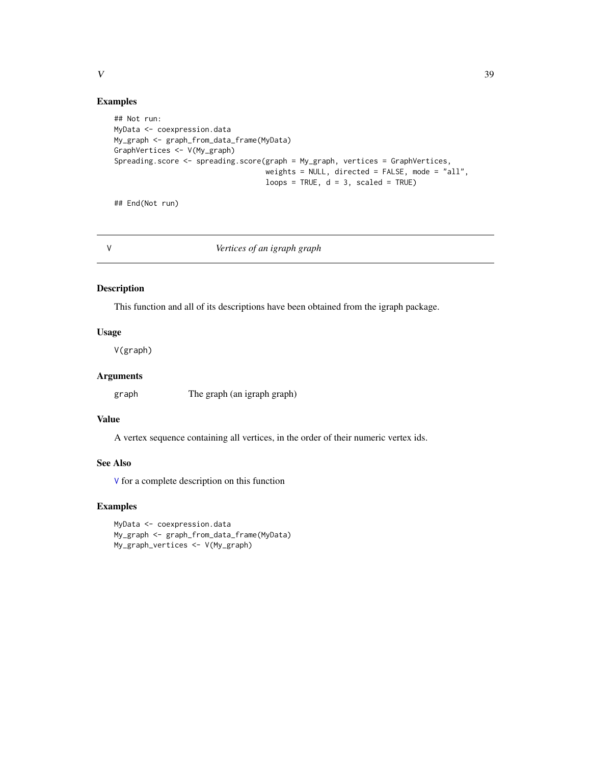#### <span id="page-38-0"></span>Examples

```
## Not run:
MyData <- coexpression.data
My_graph <- graph_from_data_frame(MyData)
GraphVertices <- V(My_graph)
Spreading.score <- spreading.score(graph = My_graph, vertices = GraphVertices,
                                   weights = NULL, directed = FALSE, mode = "all",
                                   loops = TRUE, d = 3, scaled = TRUE)
```
## End(Not run)

<span id="page-38-1"></span>

V *Vertices of an igraph graph*

# Description

This function and all of its descriptions have been obtained from the igraph package.

#### Usage

V(graph)

# Arguments

graph The graph (an igraph graph)

#### Value

A vertex sequence containing all vertices, in the order of their numeric vertex ids.

## See Also

[V](#page-38-1) for a complete description on this function

#### Examples

```
MyData <- coexpression.data
My_graph <- graph_from_data_frame(MyData)
My_graph_vertices <- V(My_graph)
```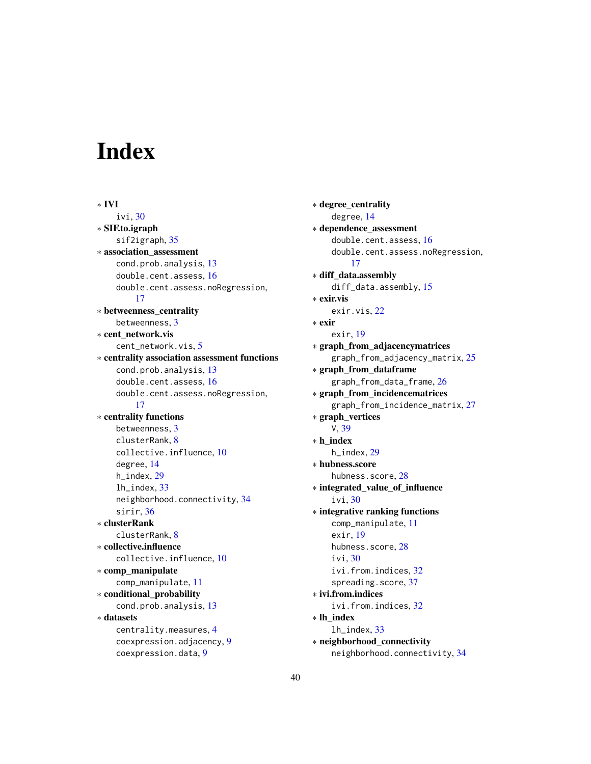# <span id="page-39-0"></span>Index

∗ IVI ivi, [30](#page-29-0) ∗ SIF.to.igraph sif2igraph, [35](#page-34-0) ∗ association\_assessment cond.prob.analysis, [13](#page-12-0) double.cent.assess, [16](#page-15-0) double.cent.assess.noRegression, [17](#page-16-0) ∗ betweenness\_centrality betweenness, [3](#page-2-0) ∗ cent\_network.vis cent\_network.vis, [5](#page-4-0) ∗ centrality association assessment functions cond.prob.analysis, [13](#page-12-0) double.cent.assess, [16](#page-15-0) double.cent.assess.noRegression, [17](#page-16-0) ∗ centrality functions betweenness, [3](#page-2-0) clusterRank, [8](#page-7-0) collective.influence, [10](#page-9-0) degree, [14](#page-13-0) h\_index, [29](#page-28-0) lh\_index, [33](#page-32-0) neighborhood.connectivity, [34](#page-33-0) sirir, [36](#page-35-0) ∗ clusterRank clusterRank, [8](#page-7-0) ∗ collective.influence collective.influence, [10](#page-9-0) ∗ comp\_manipulate comp\_manipulate, [11](#page-10-0) ∗ conditional\_probability cond.prob.analysis, [13](#page-12-0) ∗ datasets centrality.measures, [4](#page-3-0) coexpression.adjacency, [9](#page-8-0) coexpression.data, [9](#page-8-0)

∗ degree\_centrality degree, [14](#page-13-0) ∗ dependence\_assessment double.cent.assess, [16](#page-15-0) double.cent.assess.noRegression, [17](#page-16-0) ∗ diff\_data.assembly diff\_data.assembly, [15](#page-14-0) ∗ exir.vis exir.vis, [22](#page-21-0) ∗ exir exir, [19](#page-18-0) ∗ graph\_from\_adjacencymatrices graph\_from\_adjacency\_matrix, [25](#page-24-0) ∗ graph\_from\_dataframe graph\_from\_data\_frame, [26](#page-25-0) ∗ graph\_from\_incidencematrices graph\_from\_incidence\_matrix, [27](#page-26-0) ∗ graph\_vertices V, [39](#page-38-0) ∗ h\_index h\_index, [29](#page-28-0) ∗ hubness.score hubness.score, [28](#page-27-0) ∗ integrated\_value\_of\_influence ivi, [30](#page-29-0) ∗ integrative ranking functions comp\_manipulate, [11](#page-10-0) exir, [19](#page-18-0) hubness.score, [28](#page-27-0) ivi, [30](#page-29-0) ivi.from.indices, [32](#page-31-0) spreading.score, [37](#page-36-0) ∗ ivi.from.indices ivi.from.indices, [32](#page-31-0) ∗ lh\_index lh\_index, [33](#page-32-0) ∗ neighborhood\_connectivity neighborhood.connectivity, [34](#page-33-0)